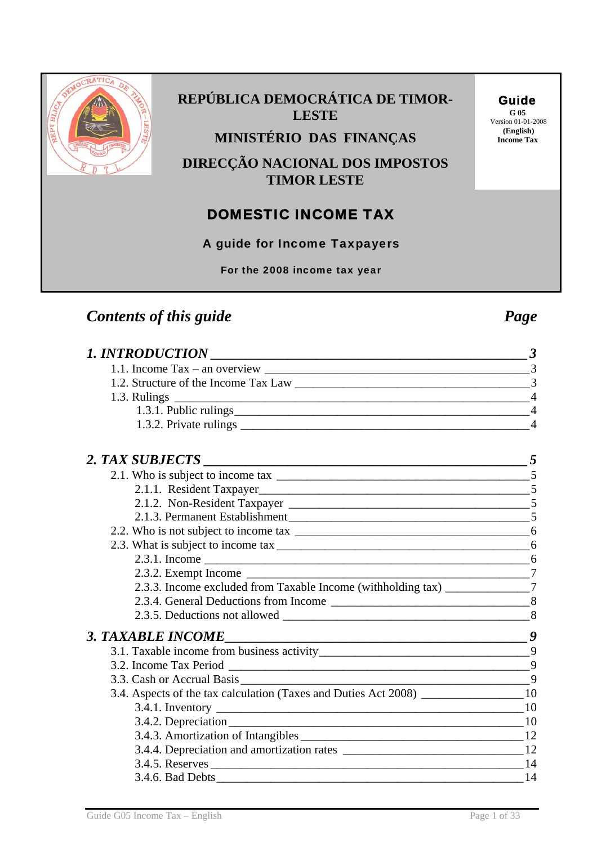

## **REPÚBLICA DEMOCRÁTICA DE TIMOR-LESTE**

**MINISTÉRIO DAS FINANÇAS** Income Tax

**DIRECÇÃO NACIONAL DOS IMPOSTOS TIMOR LESTE**

# DOMESTIC INCOME TAX

A guide for Income Taxpayers

For the 2008 income tax year

# *Contents of this guide* Page **Page** *Page Page*

| 1.1. Income Tax – an overview $\frac{1}{3}$                                          |                |
|--------------------------------------------------------------------------------------|----------------|
|                                                                                      |                |
|                                                                                      | $\overline{4}$ |
|                                                                                      | $\overline{4}$ |
|                                                                                      |                |
|                                                                                      |                |
|                                                                                      |                |
|                                                                                      | 5              |
|                                                                                      |                |
|                                                                                      |                |
|                                                                                      |                |
|                                                                                      |                |
|                                                                                      |                |
|                                                                                      |                |
| 2.3.3. Income excluded from Taxable Income (withholding tax) ________________7       |                |
|                                                                                      |                |
|                                                                                      |                |
| 3. TAXABLE INCOME                                                                    |                |
|                                                                                      |                |
|                                                                                      |                |
|                                                                                      |                |
| 3.4. Aspects of the tax calculation (Taxes and Duties Act 2008) _________________ 10 |                |
|                                                                                      |                |
|                                                                                      |                |
|                                                                                      |                |
|                                                                                      |                |
|                                                                                      | 14             |
|                                                                                      |                |

## Guide

**G 05**  Version 01-01-2008<br>(English)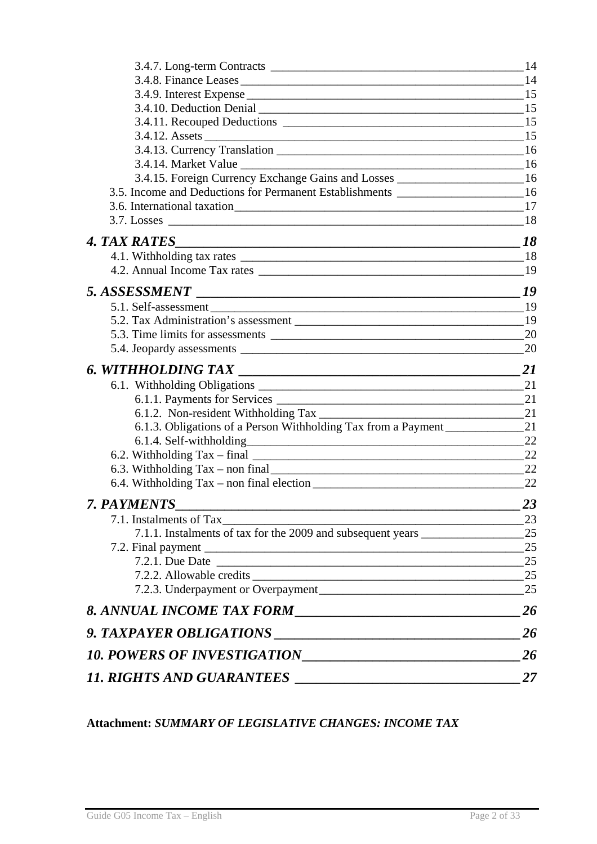| 3.4.15. Foreign Currency Exchange Gains and Losses ____________________________16   |    |
|-------------------------------------------------------------------------------------|----|
| 3.5. Income and Deductions for Permanent Establishments ________________________ 16 |    |
|                                                                                     |    |
|                                                                                     |    |
|                                                                                     |    |
|                                                                                     |    |
|                                                                                     |    |
|                                                                                     |    |
|                                                                                     |    |
|                                                                                     |    |
|                                                                                     |    |
|                                                                                     |    |
|                                                                                     | 21 |
|                                                                                     |    |
|                                                                                     |    |
|                                                                                     |    |
| 6.1.3. Obligations of a Person Withholding Tax from a Payment                       | 21 |
|                                                                                     |    |
|                                                                                     |    |
|                                                                                     |    |
|                                                                                     |    |
| 7. PAYMENTS                                                                         | 23 |
|                                                                                     | 23 |
| 7.1.1. Instalments of tax for the 2009 and subsequent years _____________________   | 25 |
|                                                                                     | 25 |
| 7.2.1. Due Date 25                                                                  |    |
|                                                                                     |    |
|                                                                                     | 25 |
|                                                                                     | 26 |
| 9. TAXPAYER OBLIGATIONS                                                             | 26 |
|                                                                                     | 26 |
| <b>11. RIGHTS AND GUARANTEES</b>                                                    | 27 |

### **Attachment:** *SUMMARY OF LEGISLATIVE CHANGES: INCOME TAX*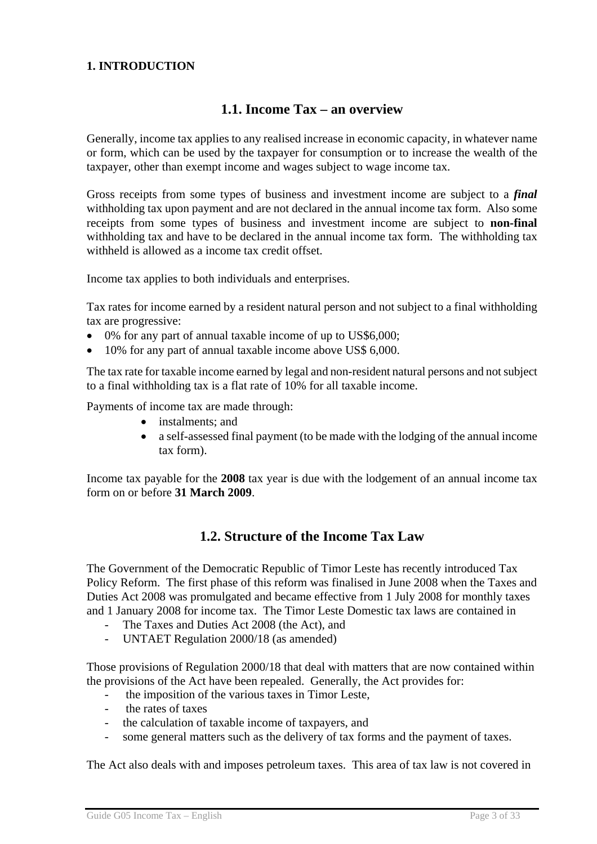#### **1. INTRODUCTION**

### **1.1. Income Tax – an overview**

Generally, income tax applies to any realised increase in economic capacity, in whatever name or form, which can be used by the taxpayer for consumption or to increase the wealth of the taxpayer, other than exempt income and wages subject to wage income tax.

Gross receipts from some types of business and investment income are subject to a *final* withholding tax upon payment and are not declared in the annual income tax form. Also some receipts from some types of business and investment income are subject to **non-final** withholding tax and have to be declared in the annual income tax form. The withholding tax withheld is allowed as a income tax credit offset.

Income tax applies to both individuals and enterprises.

Tax rates for income earned by a resident natural person and not subject to a final withholding tax are progressive:

- 0% for any part of annual taxable income of up to US\$6,000;
- 10% for any part of annual taxable income above US\$ 6,000.

The tax rate for taxable income earned by legal and non-resident natural persons and not subject to a final withholding tax is a flat rate of 10% for all taxable income.

Payments of income tax are made through:

- instalments; and
- a self-assessed final payment (to be made with the lodging of the annual income tax form).

Income tax payable for the **2008** tax year is due with the lodgement of an annual income tax form on or before **31 March 2009**.

## **1.2. Structure of the Income Tax Law**

The Government of the Democratic Republic of Timor Leste has recently introduced Tax Policy Reform. The first phase of this reform was finalised in June 2008 when the Taxes and Duties Act 2008 was promulgated and became effective from 1 July 2008 for monthly taxes and 1 January 2008 for income tax. The Timor Leste Domestic tax laws are contained in

- The Taxes and Duties Act 2008 (the Act), and
- UNTAET Regulation 2000/18 (as amended)

Those provisions of Regulation 2000/18 that deal with matters that are now contained within the provisions of the Act have been repealed. Generally, the Act provides for:

- the imposition of the various taxes in Timor Leste,
- the rates of taxes
- the calculation of taxable income of taxpayers, and
- some general matters such as the delivery of tax forms and the payment of taxes.

The Act also deals with and imposes petroleum taxes. This area of tax law is not covered in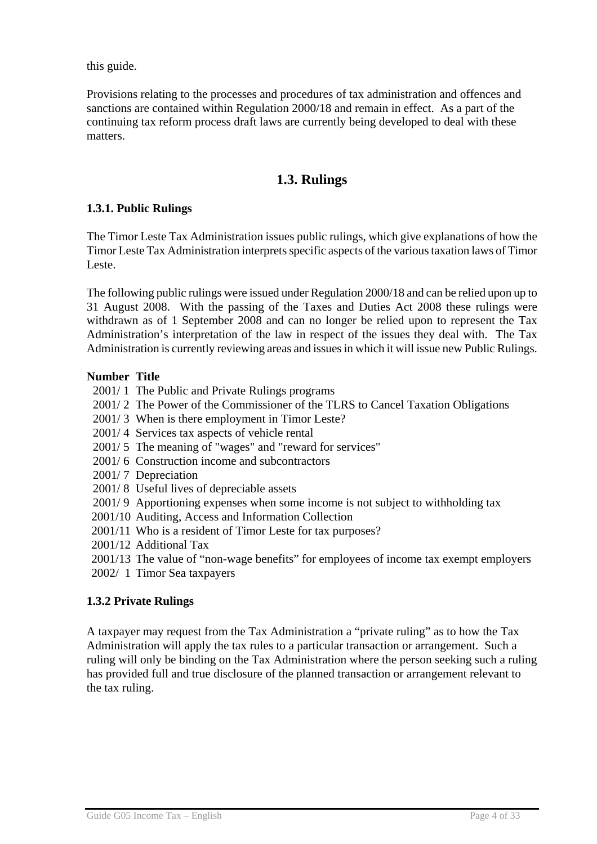this guide.

Provisions relating to the processes and procedures of tax administration and offences and sanctions are contained within Regulation 2000/18 and remain in effect. As a part of the continuing tax reform process draft laws are currently being developed to deal with these matters.

## **1.3. Rulings**

#### **1.3.1. Public Rulings**

The Timor Leste Tax Administration issues public rulings, which give explanations of how the Timor Leste Tax Administration interprets specific aspects of the various taxation laws of Timor Leste.

The following public rulings were issued under Regulation 2000/18 and can be relied upon up to 31 August 2008. With the passing of the Taxes and Duties Act 2008 these rulings were withdrawn as of 1 September 2008 and can no longer be relied upon to represent the Tax Administration's interpretation of the law in respect of the issues they deal with. The Tax Administration is currently reviewing areas and issues in which it will issue new Public Rulings.

#### **Number Title**

- 2001/ 1 The Public and Private Rulings programs
- 2001/ 2 The Power of the Commissioner of the TLRS to Cancel Taxation Obligations
- 2001/ 3 When is there employment in Timor Leste?
- 2001/ 4 Services tax aspects of vehicle rental
- 2001/ 5 The meaning of "wages" and "reward for services"
- 2001/ 6 Construction income and subcontractors
- 2001/ 7 Depreciation
- 2001/ 8 Useful lives of depreciable assets
- 2001/ 9 Apportioning expenses when some income is not subject to withholding tax
- 2001/10 Auditing, Access and Information Collection
- 2001/11 Who is a resident of Timor Leste for tax purposes?
- 2001/12 Additional Tax
- 2001/13 The value of "non-wage benefits" for employees of income tax exempt employers
- 2002/ 1 Timor Sea taxpayers

#### **1.3.2 Private Rulings**

A taxpayer may request from the Tax Administration a "private ruling" as to how the Tax Administration will apply the tax rules to a particular transaction or arrangement. Such a ruling will only be binding on the Tax Administration where the person seeking such a ruling has provided full and true disclosure of the planned transaction or arrangement relevant to the tax ruling.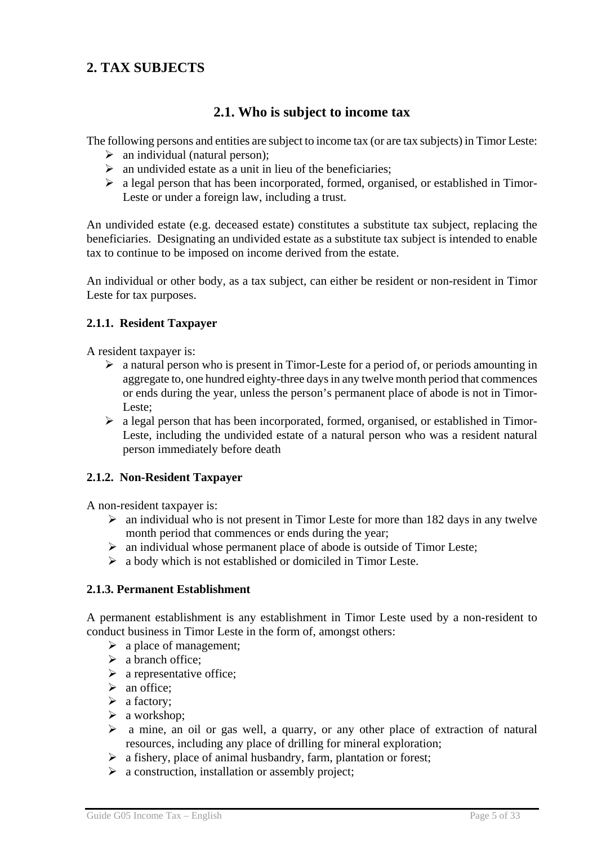## **2. TAX SUBJECTS**

## **2.1. Who is subject to income tax**

The following persons and entities are subject to income tax (or are tax subjects) in Timor Leste:

- $\triangleright$  an individual (natural person);
- $\triangleright$  an undivided estate as a unit in lieu of the beneficiaries;
- $\triangleright$  a legal person that has been incorporated, formed, organised, or established in Timor-Leste or under a foreign law, including a trust.

An undivided estate (e.g. deceased estate) constitutes a substitute tax subject, replacing the beneficiaries. Designating an undivided estate as a substitute tax subject is intended to enable tax to continue to be imposed on income derived from the estate.

An individual or other body, as a tax subject, can either be resident or non-resident in Timor Leste for tax purposes.

#### **2.1.1. Resident Taxpayer**

A resident taxpayer is:

- $\triangleright$  a natural person who is present in Timor-Leste for a period of, or periods amounting in aggregate to, one hundred eighty-three days in any twelve month period that commences or ends during the year, unless the person's permanent place of abode is not in Timor-Leste;
- $\triangleright$  a legal person that has been incorporated, formed, organised, or established in Timor-Leste, including the undivided estate of a natural person who was a resident natural person immediately before death

#### **2.1.2. Non-Resident Taxpayer**

A non-resident taxpayer is:

- $\geq$  an individual who is not present in Timor Leste for more than 182 days in any twelve month period that commences or ends during the year;
- $\triangleright$  an individual whose permanent place of abode is outside of Timor Leste;
- $\triangleright$  a body which is not established or domiciled in Timor Leste.

#### **2.1.3. Permanent Establishment**

A permanent establishment is any establishment in Timor Leste used by a non-resident to conduct business in Timor Leste in the form of, amongst others:

- $\triangleright$  a place of management;
- $\triangleright$  a branch office;
- $\triangleright$  a representative office;
- $\triangleright$  an office:
- $\triangleright$  a factory;
- $\triangleright$  a workshop;
- $\triangleright$  a mine, an oil or gas well, a quarry, or any other place of extraction of natural resources, including any place of drilling for mineral exploration;
- $\triangleright$  a fishery, place of animal husbandry, farm, plantation or forest;
- $\triangleright$  a construction, installation or assembly project;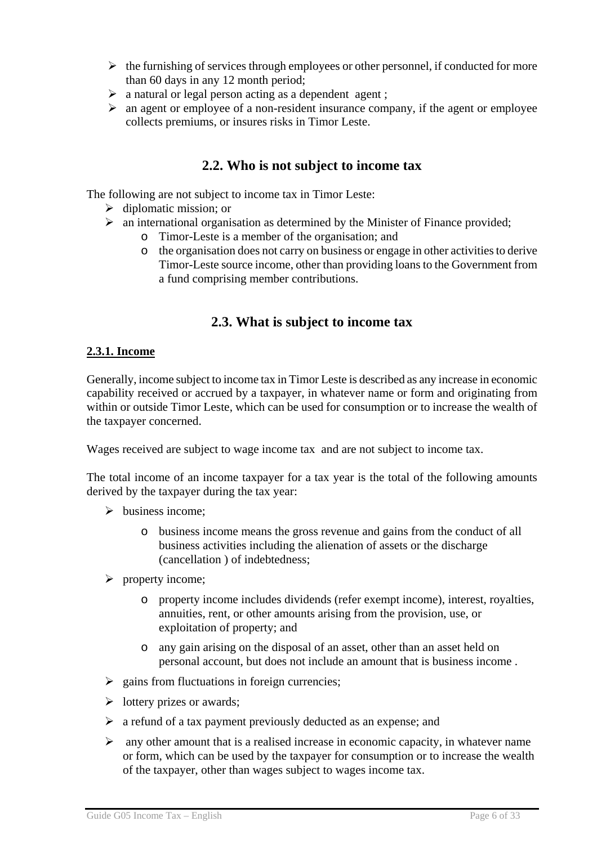- $\triangleright$  the furnishing of services through employees or other personnel, if conducted for more than 60 days in any 12 month period;
- $\triangleright$  a natural or legal person acting as a dependent agent ;
- $\triangleright$  an agent or employee of a non-resident insurance company, if the agent or employee collects premiums, or insures risks in Timor Leste.

## **2.2. Who is not subject to income tax**

The following are not subject to income tax in Timor Leste:

- $\triangleright$  diplomatic mission; or
- $\triangleright$  an international organisation as determined by the Minister of Finance provided;
	- o Timor-Leste is a member of the organisation; and
	- o the organisation does not carry on business or engage in other activities to derive Timor-Leste source income, other than providing loans to the Government from a fund comprising member contributions.

## **2.3. What is subject to income tax**

#### **2.3.1. Income**

Generally, income subject to income tax in Timor Leste is described as any increase in economic capability received or accrued by a taxpayer, in whatever name or form and originating from within or outside Timor Leste, which can be used for consumption or to increase the wealth of the taxpayer concerned.

Wages received are subject to wage income tax and are not subject to income tax.

The total income of an income taxpayer for a tax year is the total of the following amounts derived by the taxpayer during the tax year:

- $\triangleright$  business income:
	- o business income means the gross revenue and gains from the conduct of all business activities including the alienation of assets or the discharge (cancellation ) of indebtedness;
- $\triangleright$  property income:
	- o property income includes dividends (refer exempt income), interest, royalties, annuities, rent, or other amounts arising from the provision, use, or exploitation of property; and
	- o any gain arising on the disposal of an asset, other than an asset held on personal account, but does not include an amount that is business income .
- $\geq$  gains from fluctuations in foreign currencies;
- $\triangleright$  lottery prizes or awards;
- $\triangleright$  a refund of a tax payment previously deducted as an expense; and
- $\triangleright$  any other amount that is a realised increase in economic capacity, in whatever name or form, which can be used by the taxpayer for consumption or to increase the wealth of the taxpayer, other than wages subject to wages income tax.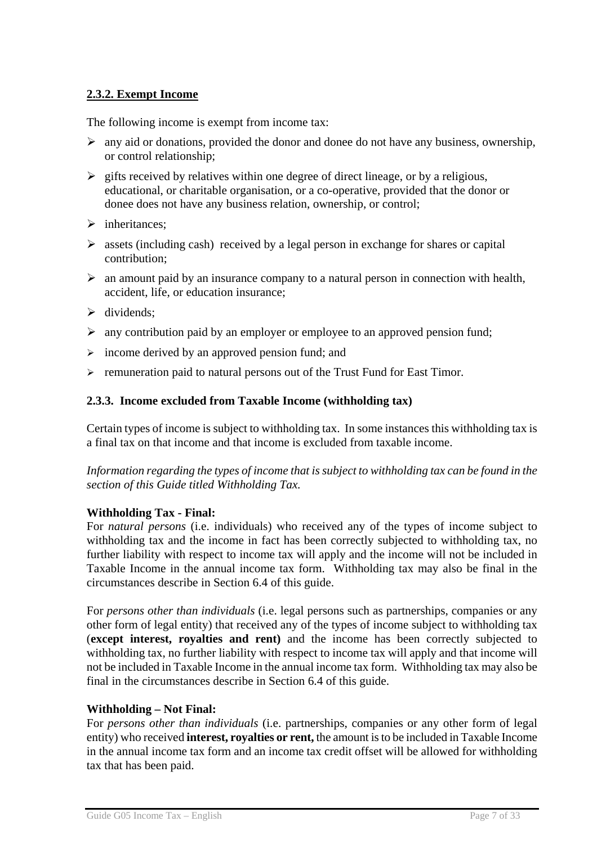#### **2.3.2. Exempt Income**

The following income is exempt from income tax:

- $\triangleright$  any aid or donations, provided the donor and donee do not have any business, ownership, or control relationship;
- $\triangleright$  gifts received by relatives within one degree of direct lineage, or by a religious, educational, or charitable organisation, or a co-operative, provided that the donor or donee does not have any business relation, ownership, or control;
- $\triangleright$  inheritances;
- $\triangleright$  assets (including cash) received by a legal person in exchange for shares or capital contribution;
- $\triangleright$  an amount paid by an insurance company to a natural person in connection with health, accident, life, or education insurance;
- $\triangleright$  dividends:
- $\triangleright$  any contribution paid by an employer or employee to an approved pension fund;
- $\triangleright$  income derived by an approved pension fund; and
- ¾ remuneration paid to natural persons out of the Trust Fund for East Timor.

#### **2.3.3. Income excluded from Taxable Income (withholding tax)**

Certain types of income is subject to withholding tax. In some instances this withholding tax is a final tax on that income and that income is excluded from taxable income.

*Information regarding the types of income that is subject to withholding tax can be found in the section of this Guide titled Withholding Tax.* 

#### **Withholding Tax - Final:**

For *natural persons* (i.e. individuals) who received any of the types of income subject to withholding tax and the income in fact has been correctly subjected to withholding tax, no further liability with respect to income tax will apply and the income will not be included in Taxable Income in the annual income tax form. Withholding tax may also be final in the circumstances describe in Section 6.4 of this guide.

For *persons other than individuals* (i.e. legal persons such as partnerships, companies or any other form of legal entity) that received any of the types of income subject to withholding tax (**except interest, royalties and rent)** and the income has been correctly subjected to withholding tax, no further liability with respect to income tax will apply and that income will not be included in Taxable Income in the annual income tax form. Withholding tax may also be final in the circumstances describe in Section 6.4 of this guide.

#### **Withholding – Not Final:**

For *persons other than individuals* (i.e. partnerships, companies or any other form of legal entity) who received **interest, royalties or rent,** the amount is to be included in Taxable Income in the annual income tax form and an income tax credit offset will be allowed for withholding tax that has been paid.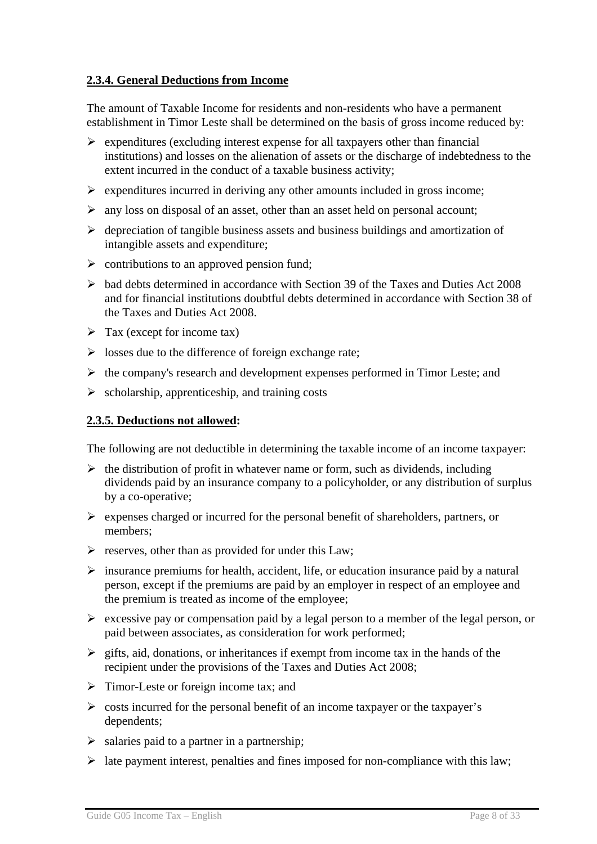#### **2.3.4. General Deductions from Income**

The amount of Taxable Income for residents and non-residents who have a permanent establishment in Timor Leste shall be determined on the basis of gross income reduced by:

- $\triangleright$  expenditures (excluding interest expense for all taxpayers other than financial institutions) and losses on the alienation of assets or the discharge of indebtedness to the extent incurred in the conduct of a taxable business activity;
- $\triangleright$  expenditures incurred in deriving any other amounts included in gross income;
- $\triangleright$  any loss on disposal of an asset, other than an asset held on personal account;
- $\triangleright$  depreciation of tangible business assets and business buildings and amortization of intangible assets and expenditure;
- $\triangleright$  contributions to an approved pension fund;
- $\triangleright$  bad debts determined in accordance with Section 39 of the Taxes and Duties Act 2008 and for financial institutions doubtful debts determined in accordance with Section 38 of the Taxes and Duties Act 2008.
- $\triangleright$  Tax (except for income tax)
- $\triangleright$  losses due to the difference of foreign exchange rate;
- $\triangleright$  the company's research and development expenses performed in Timor Leste; and
- $\triangleright$  scholarship, apprenticeship, and training costs

#### **2.3.5. Deductions not allowed:**

The following are not deductible in determining the taxable income of an income taxpayer:

- $\triangleright$  the distribution of profit in whatever name or form, such as dividends, including dividends paid by an insurance company to a policyholder, or any distribution of surplus by a co-operative;
- $\triangleright$  expenses charged or incurred for the personal benefit of shareholders, partners, or members;
- $\triangleright$  reserves, other than as provided for under this Law;
- $\triangleright$  insurance premiums for health, accident, life, or education insurance paid by a natural person, except if the premiums are paid by an employer in respect of an employee and the premium is treated as income of the employee;
- $\triangleright$  excessive pay or compensation paid by a legal person to a member of the legal person, or paid between associates, as consideration for work performed;
- $\triangleright$  gifts, aid, donations, or inheritances if exempt from income tax in the hands of the recipient under the provisions of the Taxes and Duties Act 2008;
- $\triangleright$  Timor-Leste or foreign income tax; and
- $\geq$  costs incurred for the personal benefit of an income taxpayer or the taxpayer's dependents;
- $\triangleright$  salaries paid to a partner in a partnership:
- $\triangleright$  late payment interest, penalties and fines imposed for non-compliance with this law;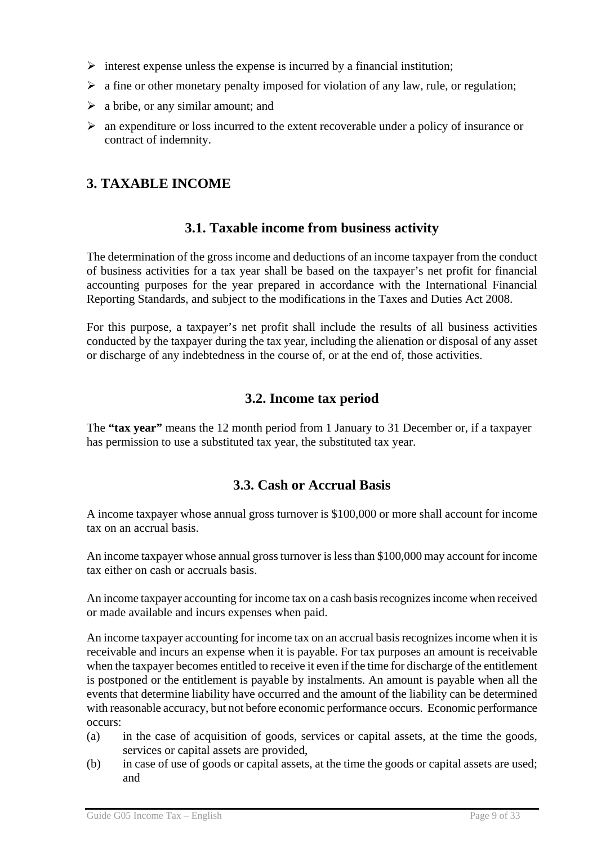- $\triangleright$  interest expense unless the expense is incurred by a financial institution;
- $\triangleright$  a fine or other monetary penalty imposed for violation of any law, rule, or regulation;
- $\triangleright$  a bribe, or any similar amount; and
- $\triangleright$  an expenditure or loss incurred to the extent recoverable under a policy of insurance or contract of indemnity.

## **3. TAXABLE INCOME**

### **3.1. Taxable income from business activity**

The determination of the gross income and deductions of an income taxpayer from the conduct of business activities for a tax year shall be based on the taxpayer's net profit for financial accounting purposes for the year prepared in accordance with the International Financial Reporting Standards, and subject to the modifications in the Taxes and Duties Act 2008.

For this purpose, a taxpayer's net profit shall include the results of all business activities conducted by the taxpayer during the tax year, including the alienation or disposal of any asset or discharge of any indebtedness in the course of, or at the end of, those activities.

### **3.2. Income tax period**

The **"tax year"** means the 12 month period from 1 January to 31 December or, if a taxpayer has permission to use a substituted tax year, the substituted tax year.

## **3.3. Cash or Accrual Basis**

A income taxpayer whose annual gross turnover is \$100,000 or more shall account for income tax on an accrual basis.

An income taxpayer whose annual gross turnover is less than \$100,000 may account for income tax either on cash or accruals basis.

An income taxpayer accounting for income tax on a cash basis recognizes income when received or made available and incurs expenses when paid.

An income taxpayer accounting for income tax on an accrual basis recognizes income when it is receivable and incurs an expense when it is payable. For tax purposes an amount is receivable when the taxpayer becomes entitled to receive it even if the time for discharge of the entitlement is postponed or the entitlement is payable by instalments. An amount is payable when all the events that determine liability have occurred and the amount of the liability can be determined with reasonable accuracy, but not before economic performance occurs. Economic performance occurs:

- (a) in the case of acquisition of goods, services or capital assets, at the time the goods, services or capital assets are provided,
- (b) in case of use of goods or capital assets, at the time the goods or capital assets are used; and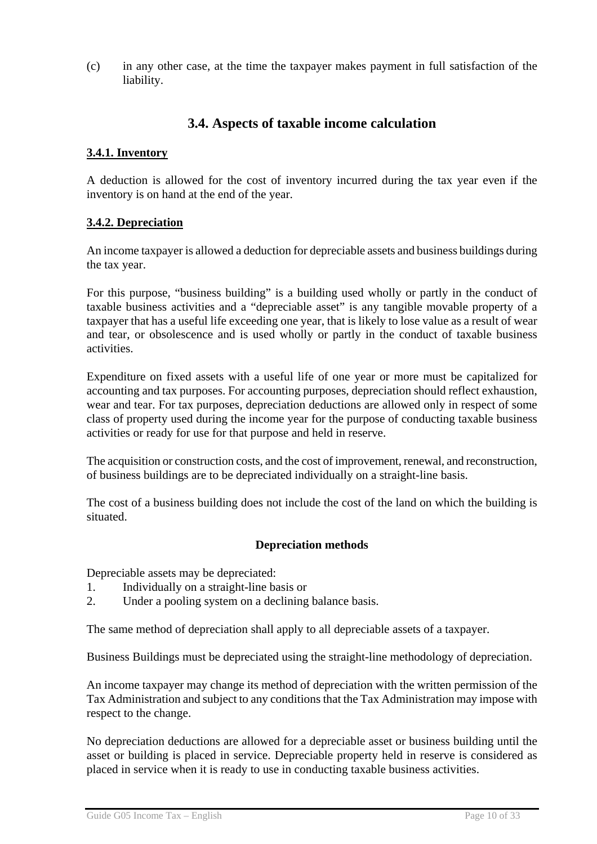(c) in any other case, at the time the taxpayer makes payment in full satisfaction of the liability.

## **3.4. Aspects of taxable income calculation**

#### **3.4.1. Inventory**

A deduction is allowed for the cost of inventory incurred during the tax year even if the inventory is on hand at the end of the year.

#### **3.4.2. Depreciation**

An income taxpayer is allowed a deduction for depreciable assets and business buildings during the tax year.

For this purpose, "business building" is a building used wholly or partly in the conduct of taxable business activities and a "depreciable asset" is any tangible movable property of a taxpayer that has a useful life exceeding one year, that is likely to lose value as a result of wear and tear, or obsolescence and is used wholly or partly in the conduct of taxable business activities.

Expenditure on fixed assets with a useful life of one year or more must be capitalized for accounting and tax purposes. For accounting purposes, depreciation should reflect exhaustion, wear and tear. For tax purposes, depreciation deductions are allowed only in respect of some class of property used during the income year for the purpose of conducting taxable business activities or ready for use for that purpose and held in reserve.

The acquisition or construction costs, and the cost of improvement, renewal, and reconstruction, of business buildings are to be depreciated individually on a straight-line basis.

The cost of a business building does not include the cost of the land on which the building is situated.

#### **Depreciation methods**

Depreciable assets may be depreciated:

- 1. Individually on a straight-line basis or
- 2. Under a pooling system on a declining balance basis.

The same method of depreciation shall apply to all depreciable assets of a taxpayer.

Business Buildings must be depreciated using the straight-line methodology of depreciation.

An income taxpayer may change its method of depreciation with the written permission of the Tax Administration and subject to any conditions that the Tax Administration may impose with respect to the change.

No depreciation deductions are allowed for a depreciable asset or business building until the asset or building is placed in service. Depreciable property held in reserve is considered as placed in service when it is ready to use in conducting taxable business activities.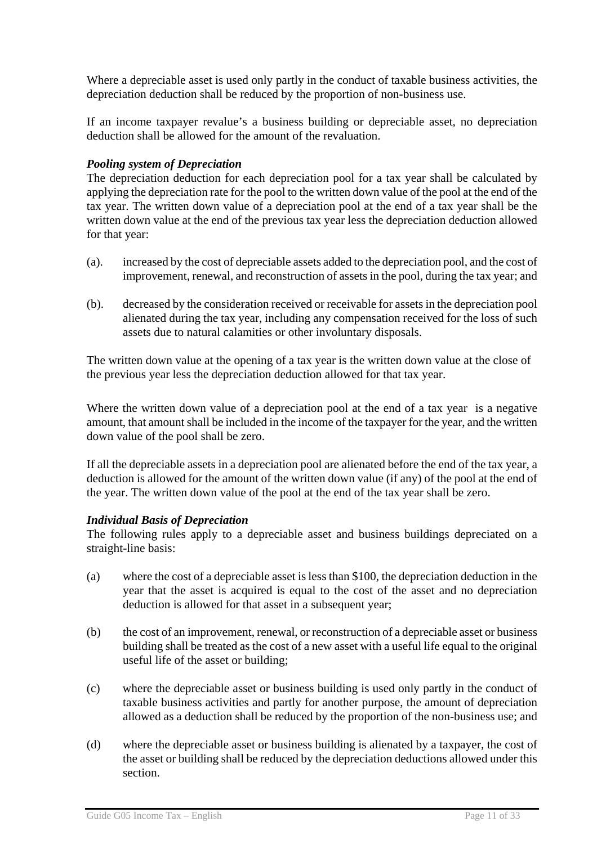Where a depreciable asset is used only partly in the conduct of taxable business activities, the depreciation deduction shall be reduced by the proportion of non-business use.

If an income taxpayer revalue's a business building or depreciable asset, no depreciation deduction shall be allowed for the amount of the revaluation.

#### *Pooling system of Depreciation*

The depreciation deduction for each depreciation pool for a tax year shall be calculated by applying the depreciation rate for the pool to the written down value of the pool at the end of the tax year. The written down value of a depreciation pool at the end of a tax year shall be the written down value at the end of the previous tax year less the depreciation deduction allowed for that year:

- (a). increased by the cost of depreciable assets added to the depreciation pool, and the cost of improvement, renewal, and reconstruction of assets in the pool, during the tax year; and
- (b). decreased by the consideration received or receivable for assets in the depreciation pool alienated during the tax year, including any compensation received for the loss of such assets due to natural calamities or other involuntary disposals.

The written down value at the opening of a tax year is the written down value at the close of the previous year less the depreciation deduction allowed for that tax year.

Where the written down value of a depreciation pool at the end of a tax year is a negative amount, that amount shall be included in the income of the taxpayer for the year, and the written down value of the pool shall be zero.

If all the depreciable assets in a depreciation pool are alienated before the end of the tax year, a deduction is allowed for the amount of the written down value (if any) of the pool at the end of the year. The written down value of the pool at the end of the tax year shall be zero.

#### *Individual Basis of Depreciation*

The following rules apply to a depreciable asset and business buildings depreciated on a straight-line basis:

- (a) where the cost of a depreciable asset is less than \$100, the depreciation deduction in the year that the asset is acquired is equal to the cost of the asset and no depreciation deduction is allowed for that asset in a subsequent year;
- (b) the cost of an improvement, renewal, or reconstruction of a depreciable asset or business building shall be treated as the cost of a new asset with a useful life equal to the original useful life of the asset or building;
- (c) where the depreciable asset or business building is used only partly in the conduct of taxable business activities and partly for another purpose, the amount of depreciation allowed as a deduction shall be reduced by the proportion of the non-business use; and
- (d) where the depreciable asset or business building is alienated by a taxpayer, the cost of the asset or building shall be reduced by the depreciation deductions allowed under this section.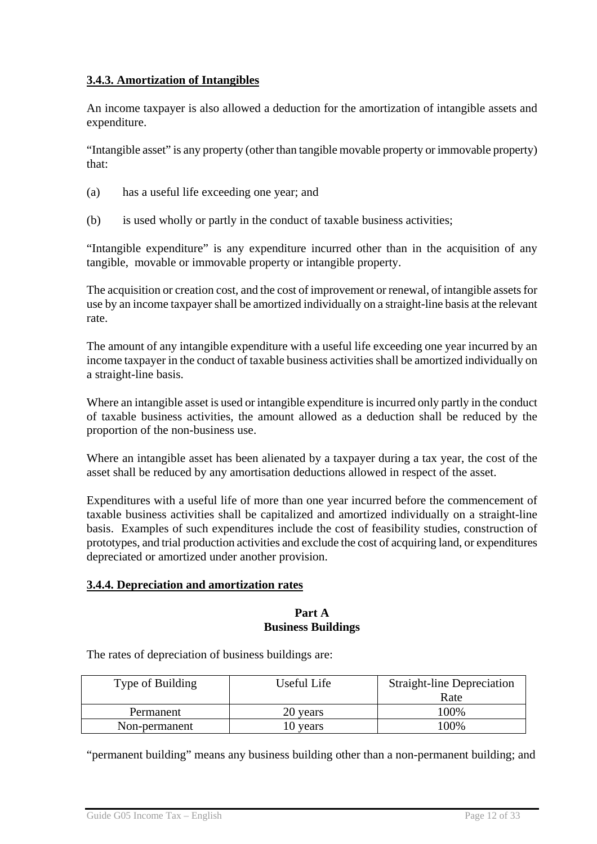#### **3.4.3. Amortization of Intangibles**

An income taxpayer is also allowed a deduction for the amortization of intangible assets and expenditure.

"Intangible asset" is any property (other than tangible movable property or immovable property) that:

- (a) has a useful life exceeding one year; and
- (b) is used wholly or partly in the conduct of taxable business activities;

"Intangible expenditure" is any expenditure incurred other than in the acquisition of any tangible, movable or immovable property or intangible property.

The acquisition or creation cost, and the cost of improvement or renewal, of intangible assets for use by an income taxpayer shall be amortized individually on a straight-line basis at the relevant rate.

The amount of any intangible expenditure with a useful life exceeding one year incurred by an income taxpayer in the conduct of taxable business activities shall be amortized individually on a straight-line basis.

Where an intangible asset is used or intangible expenditure is incurred only partly in the conduct of taxable business activities, the amount allowed as a deduction shall be reduced by the proportion of the non-business use.

Where an intangible asset has been alienated by a taxpayer during a tax year, the cost of the asset shall be reduced by any amortisation deductions allowed in respect of the asset.

Expenditures with a useful life of more than one year incurred before the commencement of taxable business activities shall be capitalized and amortized individually on a straight-line basis. Examples of such expenditures include the cost of feasibility studies, construction of prototypes, and trial production activities and exclude the cost of acquiring land, or expenditures depreciated or amortized under another provision.

#### **3.4.4. Depreciation and amortization rates**

#### **Part A Business Buildings**

The rates of depreciation of business buildings are:

| Type of Building | Useful Life | <b>Straight-line Depreciation</b> |
|------------------|-------------|-----------------------------------|
|                  |             | Rate                              |
| Permanent        | 20 years    | 100%                              |
| Non-permanent    | 10 years    | $00\%$                            |

"permanent building" means any business building other than a non-permanent building; and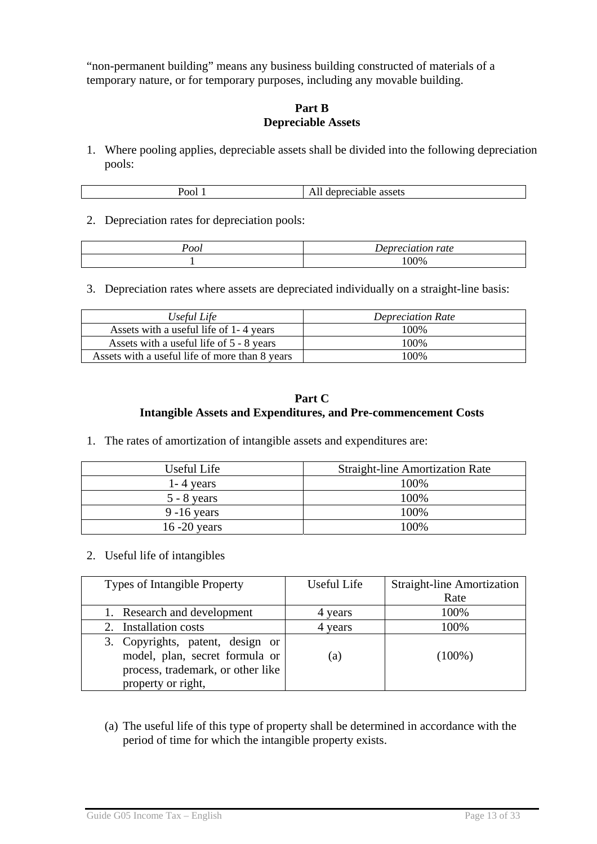"non-permanent building" means any business building constructed of materials of a temporary nature, or for temporary purposes, including any movable building.

#### **Part B Depreciable Assets**

1. Where pooling applies, depreciable assets shall be divided into the following depreciation pools:

| О.<br>,,,<br>ти<br>.<br>دىئەدە.<br>-ar<br>$\mathbf{r}$ and $\mathbf{r}$<br>-<br>- - - - - |
|-------------------------------------------------------------------------------------------|
|-------------------------------------------------------------------------------------------|

2. Depreciation rates for depreciation pools:

| '00l | ation rate. |
|------|-------------|
|      | 00%         |

3. Depreciation rates where assets are depreciated individually on a straight-line basis:

| Useful Life                                    | <b>Depreciation Rate</b> |
|------------------------------------------------|--------------------------|
| Assets with a useful life of 1-4 years         | 100%                     |
| Assets with a useful life of 5 - 8 years       | 100%                     |
| Assets with a useful life of more than 8 years | 100\%                    |

#### **Part C Intangible Assets and Expenditures, and Pre-commencement Costs**

1. The rates of amortization of intangible assets and expenditures are:

| Useful Life     | <b>Straight-line Amortization Rate</b> |
|-----------------|----------------------------------------|
| $1 - 4$ years   | 100\%                                  |
| $5 - 8$ years   | 100%                                   |
| $9 - 16$ years  | 100%                                   |
| $16 - 20$ years | 100%                                   |

2. Useful life of intangibles

| <b>Types of Intangible Property</b>                                                                     | Useful Life | <b>Straight-line Amortization</b> |
|---------------------------------------------------------------------------------------------------------|-------------|-----------------------------------|
|                                                                                                         |             | Rate                              |
| 1. Research and development                                                                             | 4 years     | 100%                              |
| 2. Installation costs                                                                                   | years       | 100%                              |
| 3. Copyrights, patent, design or<br>model, plan, secret formula or<br>process, trademark, or other like | (a)         | $(100\%)$                         |
| property or right,                                                                                      |             |                                   |

(a) The useful life of this type of property shall be determined in accordance with the period of time for which the intangible property exists.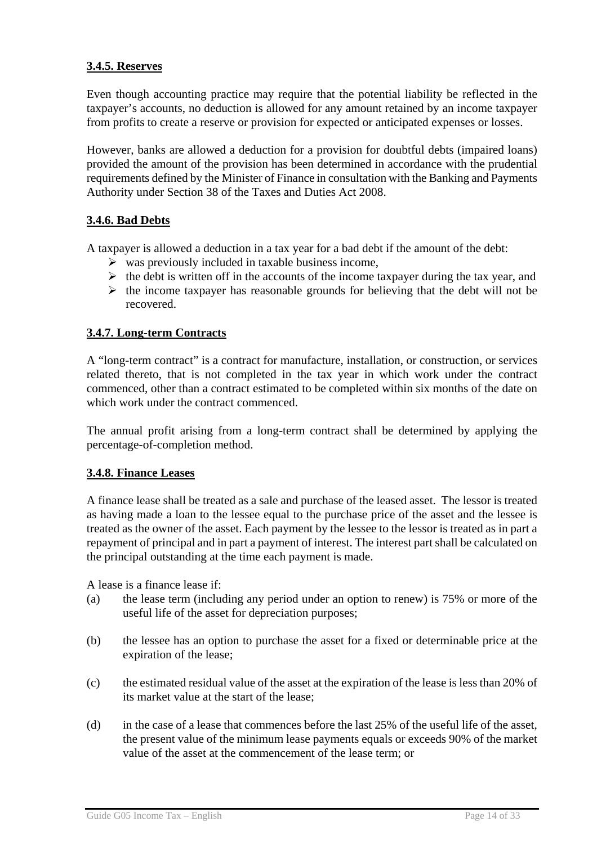#### **3.4.5. Reserves**

Even though accounting practice may require that the potential liability be reflected in the taxpayer's accounts, no deduction is allowed for any amount retained by an income taxpayer from profits to create a reserve or provision for expected or anticipated expenses or losses.

However, banks are allowed a deduction for a provision for doubtful debts (impaired loans) provided the amount of the provision has been determined in accordance with the prudential requirements defined by the Minister of Finance in consultation with the Banking and Payments Authority under Section 38 of the Taxes and Duties Act 2008.

### **3.4.6. Bad Debts**

A taxpayer is allowed a deduction in a tax year for a bad debt if the amount of the debt:

- $\triangleright$  was previously included in taxable business income,
- $\triangleright$  the debt is written off in the accounts of the income taxpayer during the tax year, and
- $\triangleright$  the income taxpayer has reasonable grounds for believing that the debt will not be recovered.

#### **3.4.7. Long-term Contracts**

A "long-term contract" is a contract for manufacture, installation, or construction, or services related thereto, that is not completed in the tax year in which work under the contract commenced, other than a contract estimated to be completed within six months of the date on which work under the contract commenced.

The annual profit arising from a long-term contract shall be determined by applying the percentage-of-completion method.

#### **3.4.8. Finance Leases**

A finance lease shall be treated as a sale and purchase of the leased asset. The lessor is treated as having made a loan to the lessee equal to the purchase price of the asset and the lessee is treated as the owner of the asset. Each payment by the lessee to the lessor is treated as in part a repayment of principal and in part a payment of interest. The interest part shall be calculated on the principal outstanding at the time each payment is made.

A lease is a finance lease if:

- (a) the lease term (including any period under an option to renew) is 75% or more of the useful life of the asset for depreciation purposes;
- (b) the lessee has an option to purchase the asset for a fixed or determinable price at the expiration of the lease;
- (c) the estimated residual value of the asset at the expiration of the lease is less than 20% of its market value at the start of the lease;
- (d) in the case of a lease that commences before the last 25% of the useful life of the asset, the present value of the minimum lease payments equals or exceeds 90% of the market value of the asset at the commencement of the lease term; or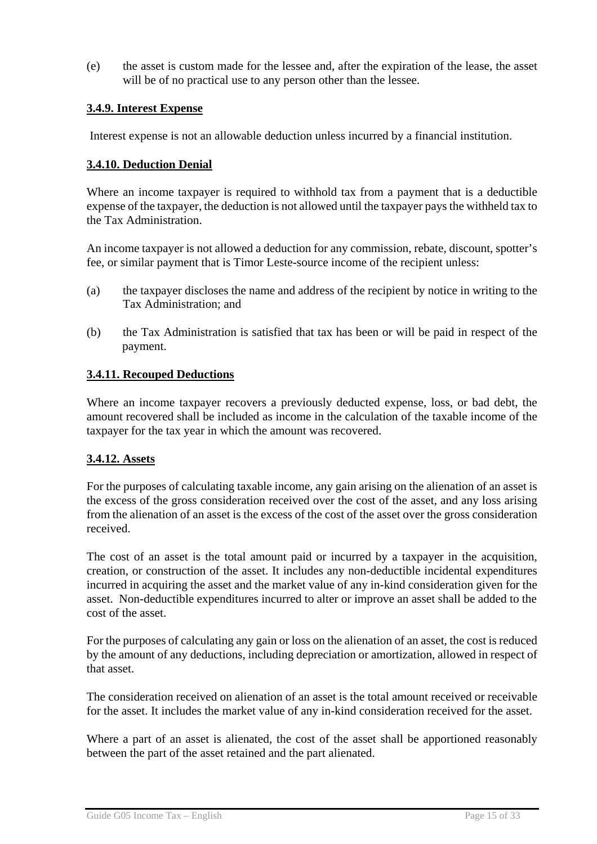(e) the asset is custom made for the lessee and, after the expiration of the lease, the asset will be of no practical use to any person other than the lessee.

#### **3.4.9. Interest Expense**

Interest expense is not an allowable deduction unless incurred by a financial institution.

#### **3.4.10. Deduction Denial**

Where an income taxpayer is required to withhold tax from a payment that is a deductible expense of the taxpayer, the deduction is not allowed until the taxpayer pays the withheld tax to the Tax Administration.

An income taxpayer is not allowed a deduction for any commission, rebate, discount, spotter's fee, or similar payment that is Timor Leste-source income of the recipient unless:

- (a) the taxpayer discloses the name and address of the recipient by notice in writing to the Tax Administration; and
- (b) the Tax Administration is satisfied that tax has been or will be paid in respect of the payment.

#### **3.4.11. Recouped Deductions**

Where an income taxpayer recovers a previously deducted expense, loss, or bad debt, the amount recovered shall be included as income in the calculation of the taxable income of the taxpayer for the tax year in which the amount was recovered.

#### **3.4.12. Assets**

For the purposes of calculating taxable income, any gain arising on the alienation of an asset is the excess of the gross consideration received over the cost of the asset, and any loss arising from the alienation of an asset is the excess of the cost of the asset over the gross consideration received.

The cost of an asset is the total amount paid or incurred by a taxpayer in the acquisition, creation, or construction of the asset. It includes any non-deductible incidental expenditures incurred in acquiring the asset and the market value of any in-kind consideration given for the asset. Non-deductible expenditures incurred to alter or improve an asset shall be added to the cost of the asset.

For the purposes of calculating any gain or loss on the alienation of an asset, the cost is reduced by the amount of any deductions, including depreciation or amortization, allowed in respect of that asset.

The consideration received on alienation of an asset is the total amount received or receivable for the asset. It includes the market value of any in-kind consideration received for the asset.

Where a part of an asset is alienated, the cost of the asset shall be apportioned reasonably between the part of the asset retained and the part alienated.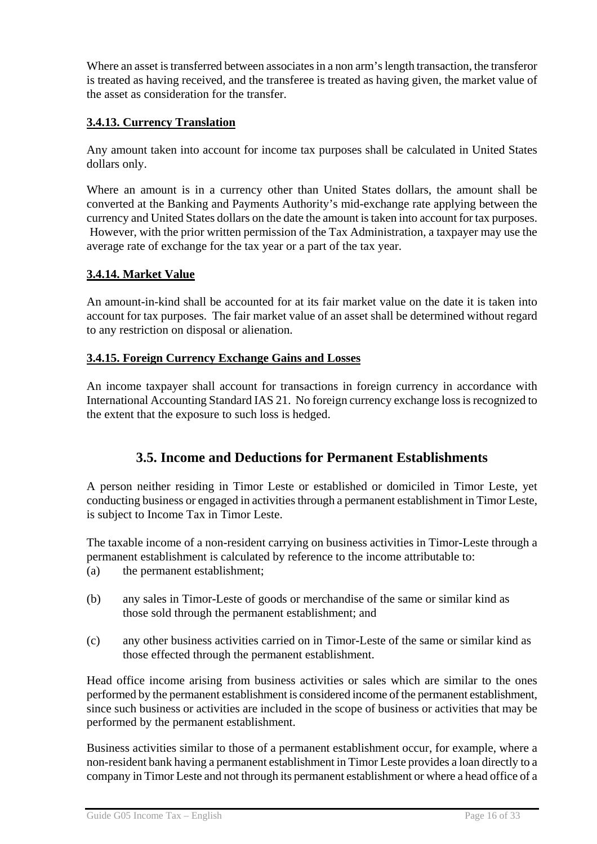Where an asset is transferred between associates in a non arm's length transaction, the transferor is treated as having received, and the transferee is treated as having given, the market value of the asset as consideration for the transfer.

### **3.4.13. Currency Translation**

Any amount taken into account for income tax purposes shall be calculated in United States dollars only.

Where an amount is in a currency other than United States dollars, the amount shall be converted at the Banking and Payments Authority's mid-exchange rate applying between the currency and United States dollars on the date the amount is taken into account for tax purposes. However, with the prior written permission of the Tax Administration, a taxpayer may use the average rate of exchange for the tax year or a part of the tax year.

### **3.4.14. Market Value**

An amount-in-kind shall be accounted for at its fair market value on the date it is taken into account for tax purposes. The fair market value of an asset shall be determined without regard to any restriction on disposal or alienation.

#### **3.4.15. Foreign Currency Exchange Gains and Losses**

An income taxpayer shall account for transactions in foreign currency in accordance with International Accounting Standard IAS 21. No foreign currency exchange loss is recognized to the extent that the exposure to such loss is hedged.

## **3.5. Income and Deductions for Permanent Establishments**

A person neither residing in Timor Leste or established or domiciled in Timor Leste, yet conducting business or engaged in activities through a permanent establishment in Timor Leste, is subject to Income Tax in Timor Leste.

The taxable income of a non-resident carrying on business activities in Timor-Leste through a permanent establishment is calculated by reference to the income attributable to:

- (a) the permanent establishment;
- (b) any sales in Timor-Leste of goods or merchandise of the same or similar kind as those sold through the permanent establishment; and
- (c) any other business activities carried on in Timor-Leste of the same or similar kind as those effected through the permanent establishment.

Head office income arising from business activities or sales which are similar to the ones performed by the permanent establishment is considered income of the permanent establishment, since such business or activities are included in the scope of business or activities that may be performed by the permanent establishment.

Business activities similar to those of a permanent establishment occur, for example, where a non-resident bank having a permanent establishment in Timor Leste provides a loan directly to a company in Timor Leste and not through its permanent establishment or where a head office of a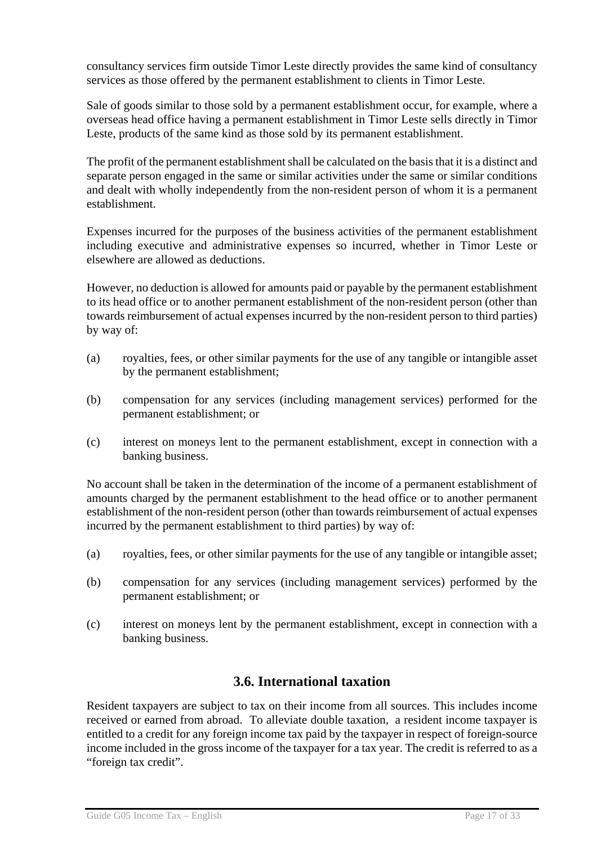consultancy services firm outside Timor Leste directly provides the same kind of consultancy services as those offered by the permanent establishment to clients in Timor Leste.

Sale of goods similar to those sold by a permanent establishment occur, for example, where a overseas head office having a permanent establishment in Timor Leste sells directly in Timor Leste, products of the same kind as those sold by its permanent establishment.

The profit of the permanent establishment shall be calculated on the basis that it is a distinct and separate person engaged in the same or similar activities under the same or similar conditions and dealt with wholly independently from the non-resident person of whom it is a permanent establishment.

Expenses incurred for the purposes of the business activities of the permanent establishment including executive and administrative expenses so incurred, whether in Timor Leste or elsewhere are allowed as deductions.

However, no deduction is allowed for amounts paid or payable by the permanent establishment to its head office or to another permanent establishment of the non-resident person (other than towards reimbursement of actual expenses incurred by the non-resident person to third parties) by way of:

- (a) royalties, fees, or other similar payments for the use of any tangible or intangible asset by the permanent establishment;
- (b) compensation for any services (including management services) performed for the permanent establishment; or
- (c) interest on moneys lent to the permanent establishment, except in connection with a banking business.

No account shall be taken in the determination of the income of a permanent establishment of amounts charged by the permanent establishment to the head office or to another permanent establishment of the non-resident person (other than towards reimbursement of actual expenses incurred by the permanent establishment to third parties) by way of:

- (a) royalties, fees, or other similar payments for the use of any tangible or intangible asset;
- (b) compensation for any services (including management services) performed by the permanent establishment; or
- (c) interest on moneys lent by the permanent establishment, except in connection with a banking business.

## **3.6. International taxation**

Resident taxpayers are subject to tax on their income from all sources. This includes income received or earned from abroad. To alleviate double taxation, a resident income taxpayer is entitled to a credit for any foreign income tax paid by the taxpayer in respect of foreign-source income included in the gross income of the taxpayer for a tax year. The credit is referred to as a "foreign tax credit".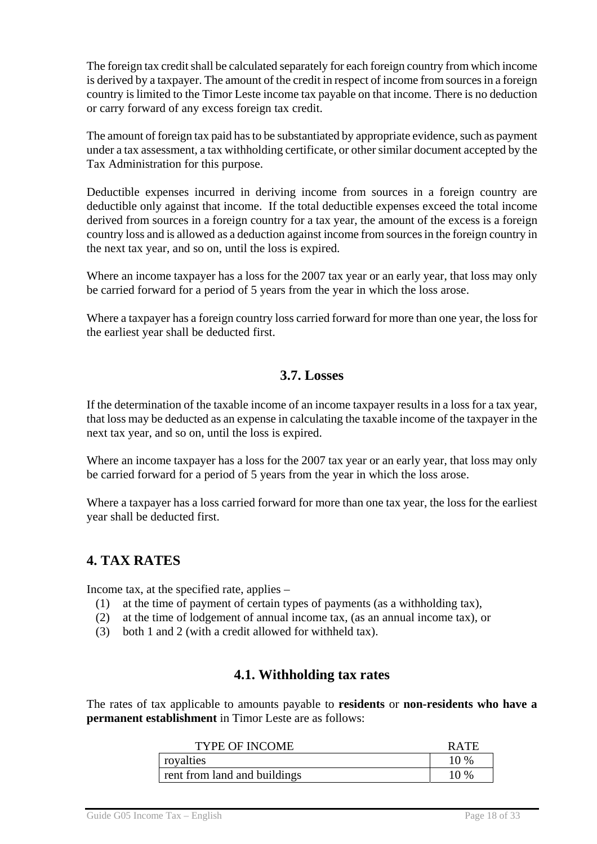The foreign tax credit shall be calculated separately for each foreign country from which income is derived by a taxpayer. The amount of the credit in respect of income from sources in a foreign country is limited to the Timor Leste income tax payable on that income. There is no deduction or carry forward of any excess foreign tax credit.

The amount of foreign tax paid has to be substantiated by appropriate evidence, such as payment under a tax assessment, a tax withholding certificate, or other similar document accepted by the Tax Administration for this purpose.

Deductible expenses incurred in deriving income from sources in a foreign country are deductible only against that income. If the total deductible expenses exceed the total income derived from sources in a foreign country for a tax year, the amount of the excess is a foreign country loss and is allowed as a deduction against income from sources in the foreign country in the next tax year, and so on, until the loss is expired.

Where an income taxpayer has a loss for the 2007 tax year or an early year, that loss may only be carried forward for a period of 5 years from the year in which the loss arose.

Where a taxpayer has a foreign country loss carried forward for more than one year, the loss for the earliest year shall be deducted first.

### **3.7. Losses**

If the determination of the taxable income of an income taxpayer results in a loss for a tax year, that loss may be deducted as an expense in calculating the taxable income of the taxpayer in the next tax year, and so on, until the loss is expired.

Where an income taxpayer has a loss for the 2007 tax year or an early year, that loss may only be carried forward for a period of 5 years from the year in which the loss arose.

Where a taxpayer has a loss carried forward for more than one tax year, the loss for the earliest year shall be deducted first.

## **4. TAX RATES**

Income tax, at the specified rate, applies –

- (1) at the time of payment of certain types of payments (as a withholding tax),
- (2) at the time of lodgement of annual income tax, (as an annual income tax), or
- (3) both 1 and 2 (with a credit allowed for withheld tax).

### **4.1. Withholding tax rates**

The rates of tax applicable to amounts payable to **residents** or **non-residents who have a permanent establishment** in Timor Leste are as follows:

| <b>TYPE OF INCOME</b>        | R ATE  |
|------------------------------|--------|
| royalties                    | 10 %   |
| rent from land and buildings | $10\%$ |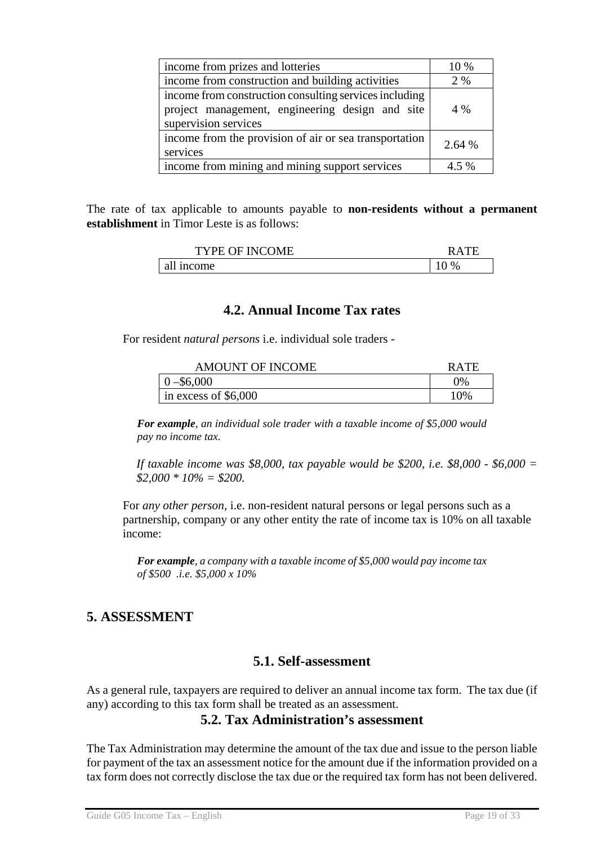| income from prizes and lotteries                                                                                                  | 10 %    |
|-----------------------------------------------------------------------------------------------------------------------------------|---------|
| income from construction and building activities                                                                                  | 2 %     |
| income from construction consulting services including<br>project management, engineering design and site<br>supervision services | 4 %     |
| income from the provision of air or sea transportation<br>services                                                                | 2.64 %  |
| income from mining and mining support services                                                                                    | $4.5\%$ |

The rate of tax applicable to amounts payable to **non-residents without a permanent establishment** in Timor Leste is as follows:

| <b>TYPE OF INCOME</b> | RА   |
|-----------------------|------|
| all income            | $\%$ |

### **4.2. Annual Income Tax rates**

For resident *natural persons* i.e. individual sole traders -

| <b>AMOUNT OF INCOME</b> | <b>RATE</b> |
|-------------------------|-------------|
| $0 - $6,000$            | $2\%$       |
| in excess of $$6,000$   | 10%         |

*For example, an individual sole trader with a taxable income of \$5,000 would pay no income tax.* 

*If taxable income was \$8,000, tax payable would be \$200, i.e. \$8,000 - \$6,000 = \$2,000 \* 10% = \$200.* 

 For *any other person,* i.e. non-resident natural persons or legal persons such as a partnership, company or any other entity the rate of income tax is 10% on all taxable income:

*For example, a company with a taxable income of \$5,000 would pay income tax of \$500 .i.e. \$5,000 x 10%* 

## **5. ASSESSMENT**

### **5.1. Self-assessment**

As a general rule, taxpayers are required to deliver an annual income tax form. The tax due (if any) according to this tax form shall be treated as an assessment.

#### **5.2. Tax Administration's assessment**

The Tax Administration may determine the amount of the tax due and issue to the person liable for payment of the tax an assessment notice for the amount due if the information provided on a tax form does not correctly disclose the tax due or the required tax form has not been delivered.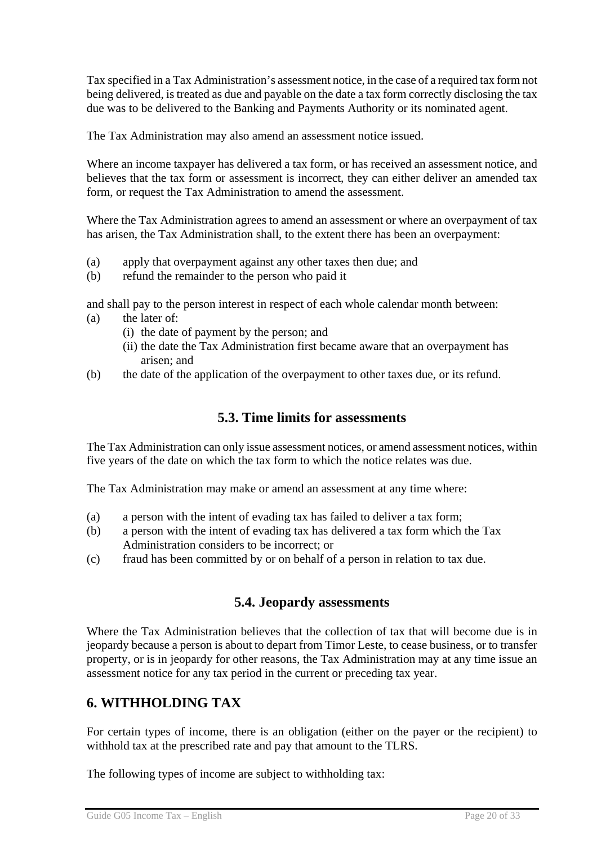Tax specified in a Tax Administration's assessment notice, in the case of a required tax form not being delivered, is treated as due and payable on the date a tax form correctly disclosing the tax due was to be delivered to the Banking and Payments Authority or its nominated agent.

The Tax Administration may also amend an assessment notice issued.

Where an income taxpayer has delivered a tax form, or has received an assessment notice, and believes that the tax form or assessment is incorrect, they can either deliver an amended tax form, or request the Tax Administration to amend the assessment.

Where the Tax Administration agrees to amend an assessment or where an overpayment of tax has arisen, the Tax Administration shall, to the extent there has been an overpayment:

- (a) apply that overpayment against any other taxes then due; and
- (b) refund the remainder to the person who paid it

and shall pay to the person interest in respect of each whole calendar month between:

- (a) the later of:
	- (i) the date of payment by the person; and
	- (ii) the date the Tax Administration first became aware that an overpayment has arisen; and
- (b) the date of the application of the overpayment to other taxes due, or its refund.

### **5.3. Time limits for assessments**

The Tax Administration can only issue assessment notices, or amend assessment notices, within five years of the date on which the tax form to which the notice relates was due.

The Tax Administration may make or amend an assessment at any time where:

- (a) a person with the intent of evading tax has failed to deliver a tax form;
- (b) a person with the intent of evading tax has delivered a tax form which the Tax Administration considers to be incorrect; or
- (c) fraud has been committed by or on behalf of a person in relation to tax due.

## **5.4. Jeopardy assessments**

Where the Tax Administration believes that the collection of tax that will become due is in jeopardy because a person is about to depart from Timor Leste, to cease business, or to transfer property, or is in jeopardy for other reasons, the Tax Administration may at any time issue an assessment notice for any tax period in the current or preceding tax year.

## **6. WITHHOLDING TAX**

For certain types of income, there is an obligation (either on the payer or the recipient) to withhold tax at the prescribed rate and pay that amount to the TLRS.

The following types of income are subject to withholding tax: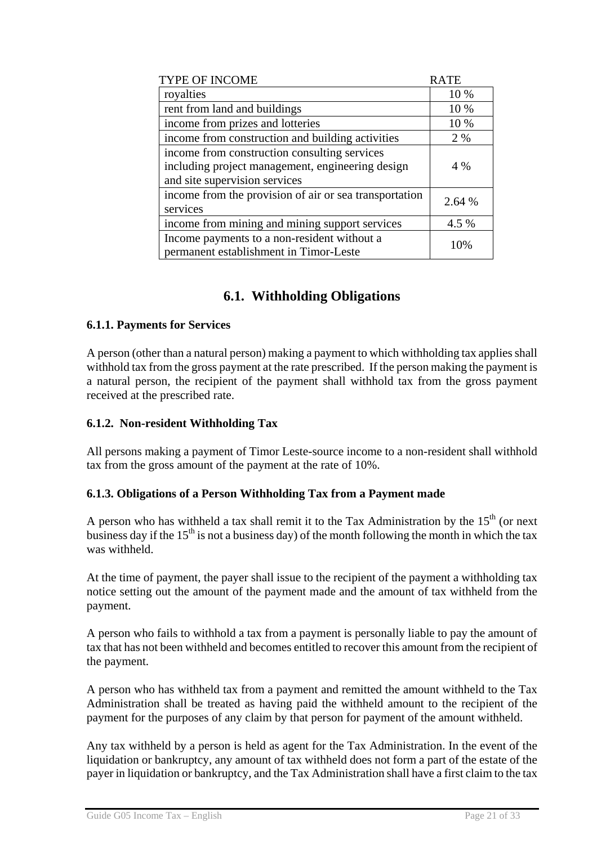| TYPE OF INCOME                                         | <b>RATE</b> |
|--------------------------------------------------------|-------------|
| royalties                                              | 10 %        |
| rent from land and buildings                           | 10 %        |
| income from prizes and lotteries                       | 10 %        |
| income from construction and building activities       | 2 %         |
| income from construction consulting services           |             |
| including project management, engineering design       | 4 %         |
| and site supervision services                          |             |
| income from the provision of air or sea transportation | 2.64 %      |
| services                                               |             |
| income from mining and mining support services         | 4.5 %       |
| Income payments to a non-resident without a            | 10%         |
| permanent establishment in Timor-Leste                 |             |

## **6.1. Withholding Obligations**

#### **6.1.1. Payments for Services**

A person (other than a natural person) making a payment to which withholding tax applies shall withhold tax from the gross payment at the rate prescribed. If the person making the payment is a natural person, the recipient of the payment shall withhold tax from the gross payment received at the prescribed rate.

#### **6.1.2. Non-resident Withholding Tax**

All persons making a payment of Timor Leste-source income to a non-resident shall withhold tax from the gross amount of the payment at the rate of 10%.

#### **6.1.3. Obligations of a Person Withholding Tax from a Payment made**

A person who has withheld a tax shall remit it to the Tax Administration by the  $15<sup>th</sup>$  (or next business day if the  $15<sup>th</sup>$  is not a business day) of the month following the month in which the tax was withheld.

At the time of payment, the payer shall issue to the recipient of the payment a withholding tax notice setting out the amount of the payment made and the amount of tax withheld from the payment.

A person who fails to withhold a tax from a payment is personally liable to pay the amount of tax that has not been withheld and becomes entitled to recover this amount from the recipient of the payment.

A person who has withheld tax from a payment and remitted the amount withheld to the Tax Administration shall be treated as having paid the withheld amount to the recipient of the payment for the purposes of any claim by that person for payment of the amount withheld.

Any tax withheld by a person is held as agent for the Tax Administration. In the event of the liquidation or bankruptcy, any amount of tax withheld does not form a part of the estate of the payer in liquidation or bankruptcy, and the Tax Administration shall have a first claim to the tax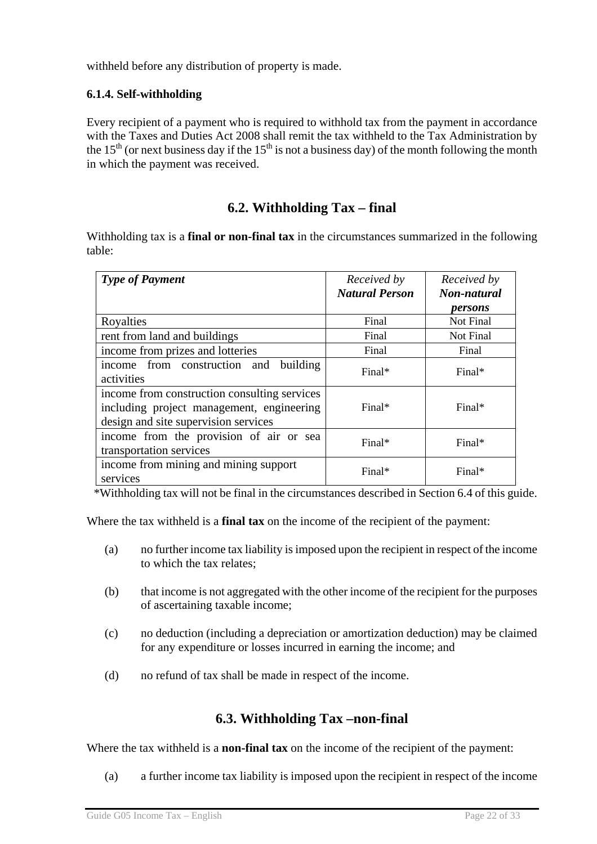withheld before any distribution of property is made.

### **6.1.4. Self-withholding**

Every recipient of a payment who is required to withhold tax from the payment in accordance with the Taxes and Duties Act 2008 shall remit the tax withheld to the Tax Administration by the 15<sup>th</sup> (or next business day if the 15<sup>th</sup> is not a business day) of the month following the month in which the payment was received.

## **6.2. Withholding Tax – final**

Withholding tax is a **final or non-final tax** in the circumstances summarized in the following table:

| <b>Type of Payment</b>                                                                                                            | Received by<br><b>Natural Person</b> | Received by<br>Non-natural<br>persons |
|-----------------------------------------------------------------------------------------------------------------------------------|--------------------------------------|---------------------------------------|
| Royalties                                                                                                                         | Final                                | Not Final                             |
| rent from land and buildings                                                                                                      | Final                                | Not Final                             |
| income from prizes and lotteries                                                                                                  | Final                                | Final                                 |
| income from construction and<br>building<br>activities                                                                            | Final*                               | Final*                                |
| income from construction consulting services<br>including project management, engineering<br>design and site supervision services | $Final*$                             | $Final*$                              |
| income from the provision of air or sea<br>transportation services                                                                | Final*                               | Final*                                |
| income from mining and mining support<br>services                                                                                 | Final*                               | Final*                                |

\*Withholding tax will not be final in the circumstances described in Section 6.4 of this guide.

Where the tax withheld is a **final tax** on the income of the recipient of the payment:

- (a) no further income tax liability is imposed upon the recipient in respect of the income to which the tax relates;
- (b) that income is not aggregated with the other income of the recipient for the purposes of ascertaining taxable income;
- (c) no deduction (including a depreciation or amortization deduction) may be claimed for any expenditure or losses incurred in earning the income; and
- (d) no refund of tax shall be made in respect of the income.

## **6.3. Withholding Tax –non-final**

Where the tax withheld is a **non-final tax** on the income of the recipient of the payment:

(a) a further income tax liability is imposed upon the recipient in respect of the income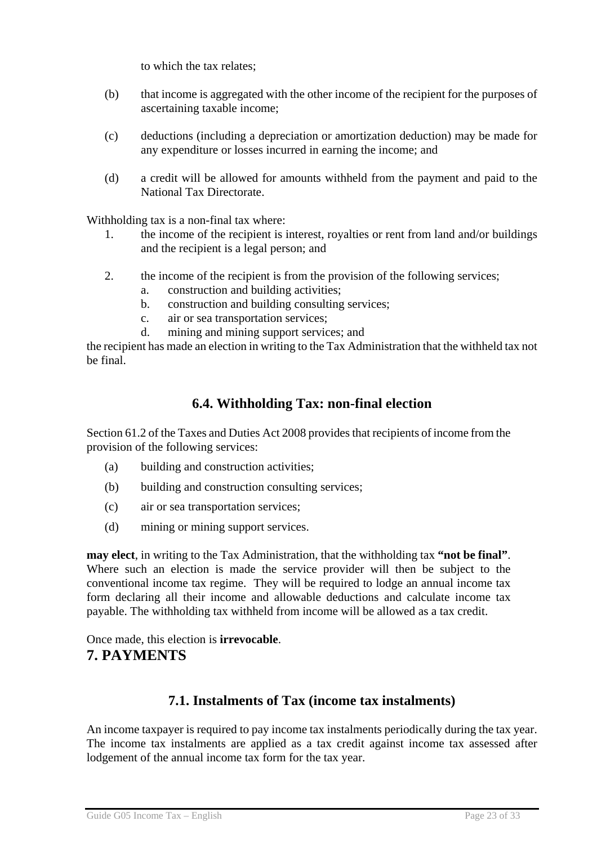to which the tax relates;

- (b) that income is aggregated with the other income of the recipient for the purposes of ascertaining taxable income;
- (c) deductions (including a depreciation or amortization deduction) may be made for any expenditure or losses incurred in earning the income; and
- (d) a credit will be allowed for amounts withheld from the payment and paid to the National Tax Directorate.

Withholding tax is a non-final tax where:

- 1. the income of the recipient is interest, royalties or rent from land and/or buildings and the recipient is a legal person; and
- 2. the income of the recipient is from the provision of the following services;
	- a. construction and building activities;
	- b. construction and building consulting services;
	- c. air or sea transportation services;
	- d. mining and mining support services; and

the recipient has made an election in writing to the Tax Administration that the withheld tax not be final.

## **6.4. Withholding Tax: non-final election**

Section 61.2 of the Taxes and Duties Act 2008 provides that recipients of income from the provision of the following services:

- (a) building and construction activities;
- (b) building and construction consulting services;
- (c) air or sea transportation services;
- (d) mining or mining support services.

**may elect**, in writing to the Tax Administration, that the withholding tax **"not be final"**. Where such an election is made the service provider will then be subject to the conventional income tax regime. They will be required to lodge an annual income tax form declaring all their income and allowable deductions and calculate income tax payable. The withholding tax withheld from income will be allowed as a tax credit.

Once made, this election is **irrevocable**. **7. PAYMENTS** 

## **7.1. Instalments of Tax (income tax instalments)**

An income taxpayer is required to pay income tax instalments periodically during the tax year. The income tax instalments are applied as a tax credit against income tax assessed after lodgement of the annual income tax form for the tax year.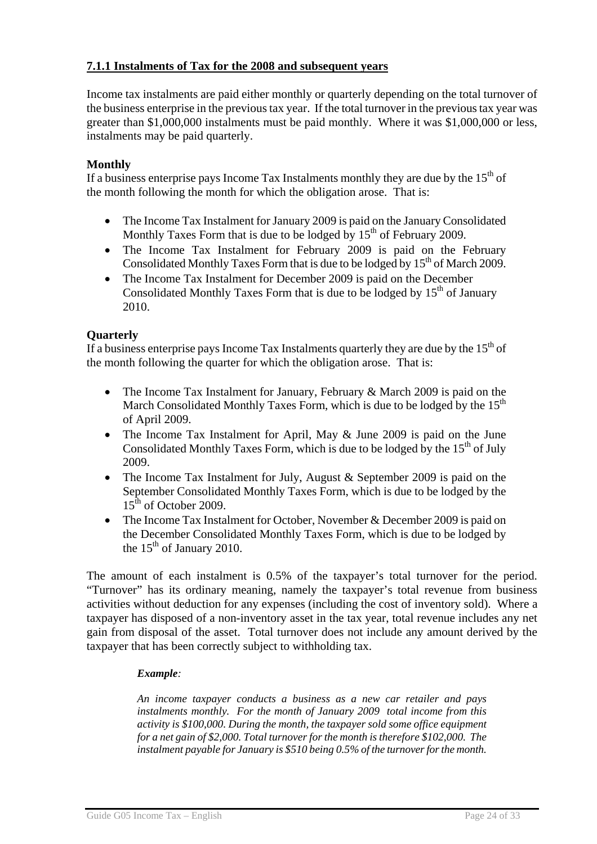### **7.1.1 Instalments of Tax for the 2008 and subsequent years**

Income tax instalments are paid either monthly or quarterly depending on the total turnover of the business enterprise in the previous tax year. If the total turnover in the previous tax year was greater than \$1,000,000 instalments must be paid monthly. Where it was \$1,000,000 or less, instalments may be paid quarterly.

#### **Monthly**

If a business enterprise pays Income Tax Instalments monthly they are due by the  $15<sup>th</sup>$  of the month following the month for which the obligation arose. That is:

- The Income Tax Instalment for January 2009 is paid on the January Consolidated Monthly Taxes Form that is due to be lodged by  $15<sup>th</sup>$  of February 2009.
- The Income Tax Instalment for February 2009 is paid on the February Consolidated Monthly Taxes Form that is due to be lodged by  $15<sup>th</sup>$  of March 2009.
- The Income Tax Instalment for December 2009 is paid on the December Consolidated Monthly Taxes Form that is due to be lodged by  $15<sup>th</sup>$  of January 2010.

#### **Quarterly**

If a business enterprise pays Income Tax Instalments quarterly they are due by the  $15<sup>th</sup>$  of the month following the quarter for which the obligation arose. That is:

- The Income Tax Instalment for January, February & March 2009 is paid on the March Consolidated Monthly Taxes Form, which is due to be lodged by the  $15<sup>th</sup>$ of April 2009.
- The Income Tax Instalment for April, May & June 2009 is paid on the June Consolidated Monthly Taxes Form, which is due to be lodged by the  $15<sup>th</sup>$  of July 2009.
- The Income Tax Instalment for July, August & September 2009 is paid on the September Consolidated Monthly Taxes Form, which is due to be lodged by the  $15<sup>th</sup>$  of October 2009.
- The Income Tax Instalment for October, November & December 2009 is paid on the December Consolidated Monthly Taxes Form, which is due to be lodged by the  $15<sup>th</sup>$  of January 2010.

The amount of each instalment is 0.5% of the taxpayer's total turnover for the period. "Turnover" has its ordinary meaning, namely the taxpayer's total revenue from business activities without deduction for any expenses (including the cost of inventory sold). Where a taxpayer has disposed of a non-inventory asset in the tax year, total revenue includes any net gain from disposal of the asset. Total turnover does not include any amount derived by the taxpayer that has been correctly subject to withholding tax.

#### *Example:*

*An income taxpayer conducts a business as a new car retailer and pays instalments monthly. For the month of January 2009 total income from this activity is \$100,000. During the month, the taxpayer sold some office equipment for a net gain of \$2,000. Total turnover for the month is therefore \$102,000. The instalment payable for January is \$510 being 0.5% of the turnover for the month.*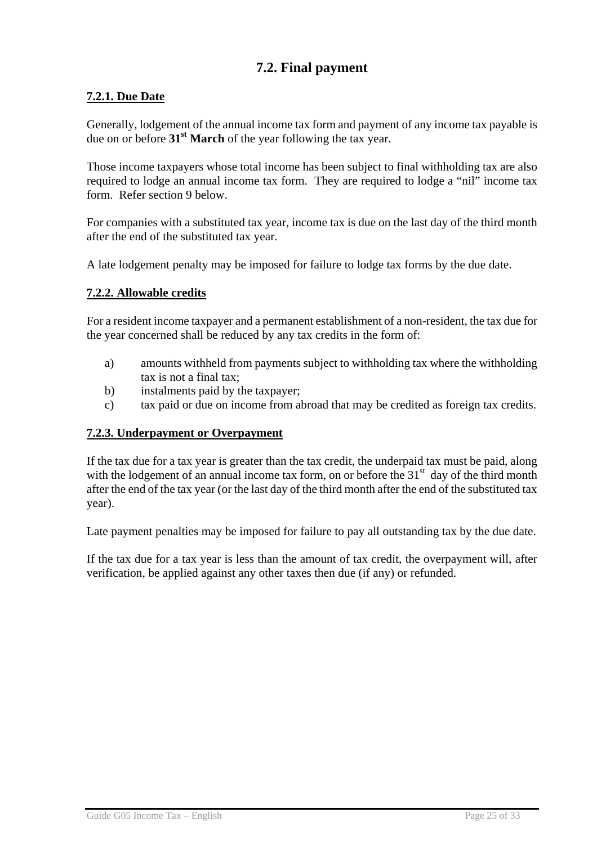## **7.2. Final payment**

### **7.2.1. Due Date**

Generally, lodgement of the annual income tax form and payment of any income tax payable is due on or before **31st March** of the year following the tax year.

Those income taxpayers whose total income has been subject to final withholding tax are also required to lodge an annual income tax form. They are required to lodge a "nil" income tax form. Refer section 9 below.

For companies with a substituted tax year, income tax is due on the last day of the third month after the end of the substituted tax year.

A late lodgement penalty may be imposed for failure to lodge tax forms by the due date.

#### **7.2.2. Allowable credits**

For a resident income taxpayer and a permanent establishment of a non-resident, the tax due for the year concerned shall be reduced by any tax credits in the form of:

- a) amounts withheld from payments subject to withholding tax where the withholding tax is not a final tax;
- b) instalments paid by the taxpayer;
- c) tax paid or due on income from abroad that may be credited as foreign tax credits.

#### **7.2.3. Underpayment or Overpayment**

If the tax due for a tax year is greater than the tax credit, the underpaid tax must be paid, along with the lodgement of an annual income tax form, on or before the  $31<sup>st</sup>$  day of the third month after the end of the tax year (or the last day of the third month after the end of the substituted tax year).

Late payment penalties may be imposed for failure to pay all outstanding tax by the due date.

If the tax due for a tax year is less than the amount of tax credit, the overpayment will, after verification, be applied against any other taxes then due (if any) or refunded.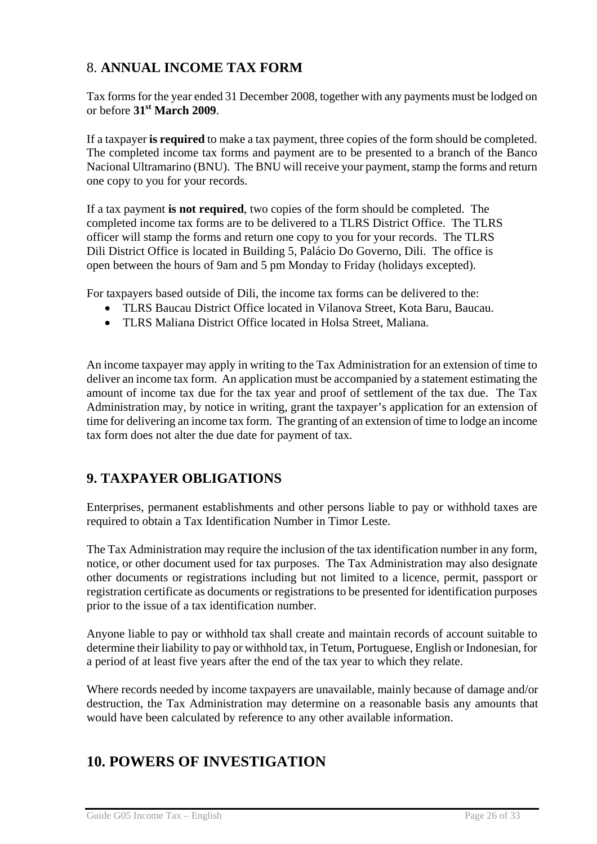## 8. **ANNUAL INCOME TAX FORM**

Tax forms for the year ended 31 December 2008, together with any payments must be lodged on or before **31st March 2009**.

If a taxpayer **is required** to make a tax payment, three copies of the form should be completed. The completed income tax forms and payment are to be presented to a branch of the Banco Nacional Ultramarino (BNU). The BNU will receive your payment, stamp the forms and return one copy to you for your records.

If a tax payment **is not required**, two copies of the form should be completed. The completed income tax forms are to be delivered to a TLRS District Office. The TLRS officer will stamp the forms and return one copy to you for your records. The TLRS Dili District Office is located in Building 5, Palácio Do Governo, Dili. The office is open between the hours of 9am and 5 pm Monday to Friday (holidays excepted).

For taxpayers based outside of Dili, the income tax forms can be delivered to the:

- TLRS Baucau District Office located in Vilanova Street, Kota Baru, Baucau.
- TLRS Maliana District Office located in Holsa Street, Maliana.

An income taxpayer may apply in writing to the Tax Administration for an extension of time to deliver an income tax form. An application must be accompanied by a statement estimating the amount of income tax due for the tax year and proof of settlement of the tax due. The Tax Administration may, by notice in writing, grant the taxpayer's application for an extension of time for delivering an income tax form. The granting of an extension of time to lodge an income tax form does not alter the due date for payment of tax.

## **9. TAXPAYER OBLIGATIONS**

Enterprises, permanent establishments and other persons liable to pay or withhold taxes are required to obtain a Tax Identification Number in Timor Leste.

The Tax Administration may require the inclusion of the tax identification number in any form, notice, or other document used for tax purposes. The Tax Administration may also designate other documents or registrations including but not limited to a licence, permit, passport or registration certificate as documents or registrations to be presented for identification purposes prior to the issue of a tax identification number.

Anyone liable to pay or withhold tax shall create and maintain records of account suitable to determine their liability to pay or withhold tax, in Tetum, Portuguese, English or Indonesian, for a period of at least five years after the end of the tax year to which they relate.

Where records needed by income taxpayers are unavailable, mainly because of damage and/or destruction, the Tax Administration may determine on a reasonable basis any amounts that would have been calculated by reference to any other available information.

# **10. POWERS OF INVESTIGATION**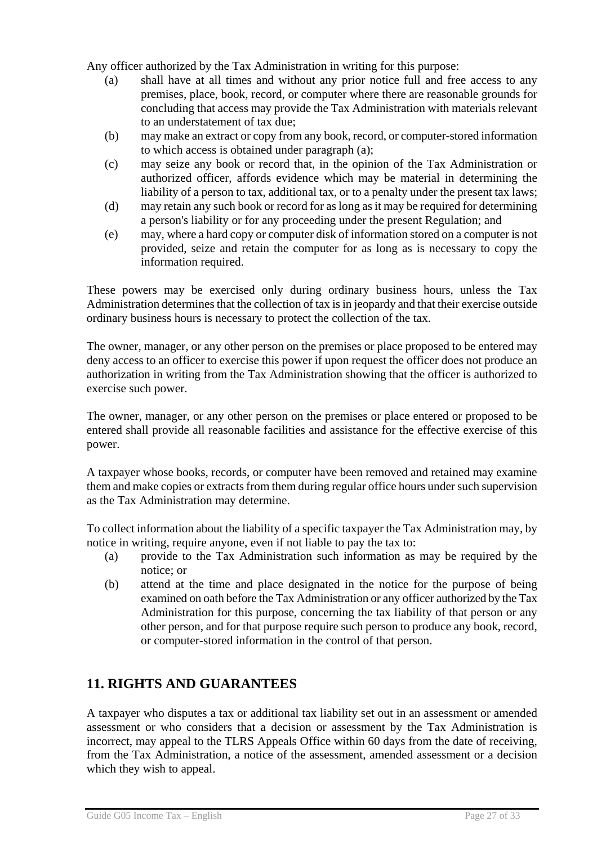Any officer authorized by the Tax Administration in writing for this purpose:

- (a) shall have at all times and without any prior notice full and free access to any premises, place, book, record, or computer where there are reasonable grounds for concluding that access may provide the Tax Administration with materials relevant to an understatement of tax due;
- (b) may make an extract or copy from any book, record, or computer-stored information to which access is obtained under paragraph (a);
- (c) may seize any book or record that, in the opinion of the Tax Administration or authorized officer, affords evidence which may be material in determining the liability of a person to tax, additional tax, or to a penalty under the present tax laws;
- (d) may retain any such book or record for as long as it may be required for determining a person's liability or for any proceeding under the present Regulation; and
- (e) may, where a hard copy or computer disk of information stored on a computer is not provided, seize and retain the computer for as long as is necessary to copy the information required.

These powers may be exercised only during ordinary business hours, unless the Tax Administration determines that the collection of tax is in jeopardy and that their exercise outside ordinary business hours is necessary to protect the collection of the tax.

The owner, manager, or any other person on the premises or place proposed to be entered may deny access to an officer to exercise this power if upon request the officer does not produce an authorization in writing from the Tax Administration showing that the officer is authorized to exercise such power.

The owner, manager, or any other person on the premises or place entered or proposed to be entered shall provide all reasonable facilities and assistance for the effective exercise of this power.

A taxpayer whose books, records, or computer have been removed and retained may examine them and make copies or extracts from them during regular office hours under such supervision as the Tax Administration may determine.

To collect information about the liability of a specific taxpayer the Tax Administration may, by notice in writing, require anyone, even if not liable to pay the tax to:

- (a) provide to the Tax Administration such information as may be required by the notice; or
- (b) attend at the time and place designated in the notice for the purpose of being examined on oath before the Tax Administration or any officer authorized by the Tax Administration for this purpose, concerning the tax liability of that person or any other person, and for that purpose require such person to produce any book, record, or computer-stored information in the control of that person.

## **11. RIGHTS AND GUARANTEES**

A taxpayer who disputes a tax or additional tax liability set out in an assessment or amended assessment or who considers that a decision or assessment by the Tax Administration is incorrect, may appeal to the TLRS Appeals Office within 60 days from the date of receiving, from the Tax Administration*,* a notice of the assessment, amended assessment or a decision which they wish to appeal.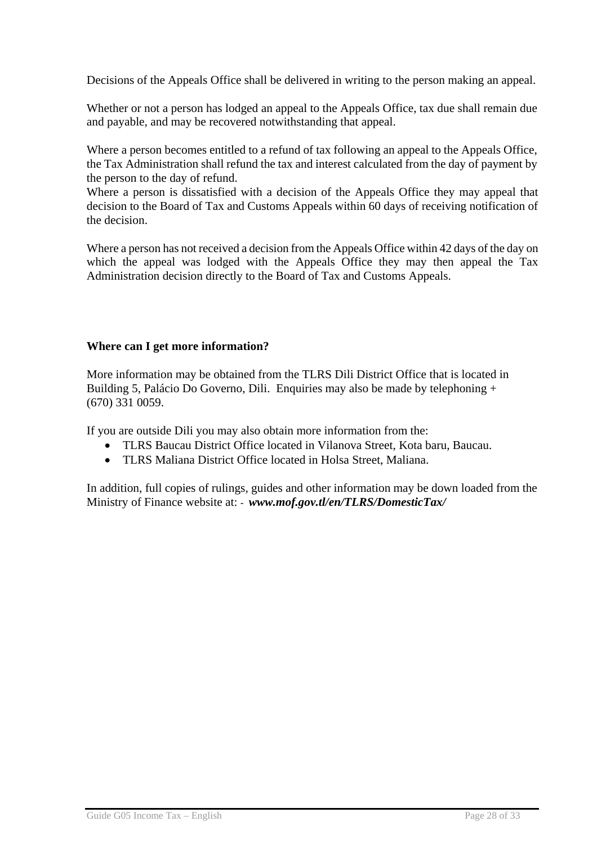Decisions of the Appeals Office shall be delivered in writing to the person making an appeal.

Whether or not a person has lodged an appeal to the Appeals Office, tax due shall remain due and payable, and may be recovered notwithstanding that appeal.

Where a person becomes entitled to a refund of tax following an appeal to the Appeals Office, the Tax Administration shall refund the tax and interest calculated from the day of payment by the person to the day of refund.

Where a person is dissatisfied with a decision of the Appeals Office they may appeal that decision to the Board of Tax and Customs Appeals within 60 days of receiving notification of the decision.

Where a person has not received a decision from the Appeals Office within 42 days of the day on which the appeal was lodged with the Appeals Office they may then appeal the Tax Administration decision directly to the Board of Tax and Customs Appeals.

#### **Where can I get more information?**

More information may be obtained from the TLRS Dili District Office that is located in Building 5, Palácio Do Governo, Dili. Enquiries may also be made by telephoning + (670) 331 0059.

If you are outside Dili you may also obtain more information from the:

- TLRS Baucau District Office located in Vilanova Street, Kota baru, Baucau.
- TLRS Maliana District Office located in Holsa Street, Maliana.

In addition, full copies of rulings, guides and other information may be down loaded from the Ministry of Finance website at: *- www.mof.gov.tl/en/TLRS/DomesticTax/*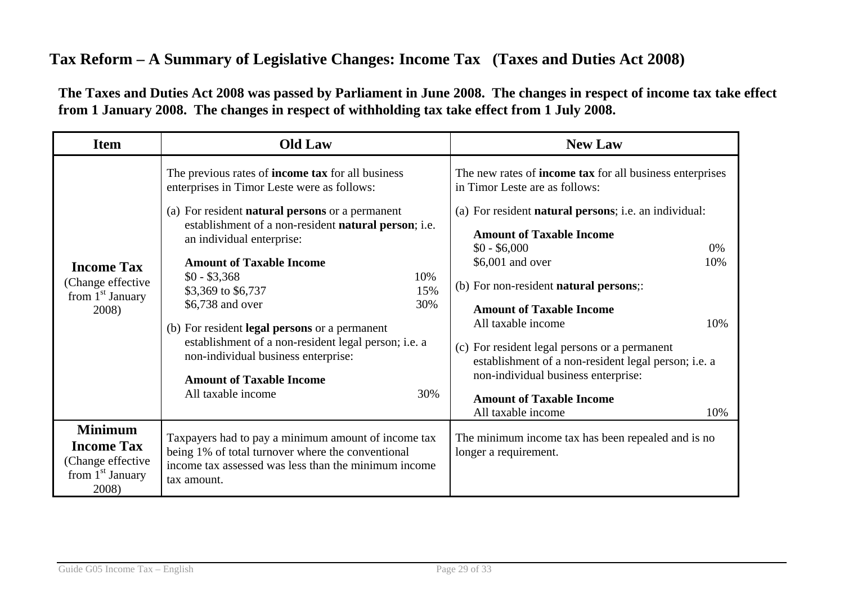# **Tax Reform – A Summary of Legislative Changes: Income Tax (Taxes and Duties Act 2008)**

**The Taxes and Duties Act 2008 was passed by Parliament in June 2008. The changes in respect of income tax take effect from 1 January 2008. The changes in respect of withholding tax take effect from 1 July 2008.** 

| <b>Item</b>                                                                             | <b>Old Law</b>                                                                                                                                                                                                                                                                                                                                                                                                                                                                                                                   | <b>New Law</b>                                                                                                                                                                                                                                                                                                                                                                                                               |  |
|-----------------------------------------------------------------------------------------|----------------------------------------------------------------------------------------------------------------------------------------------------------------------------------------------------------------------------------------------------------------------------------------------------------------------------------------------------------------------------------------------------------------------------------------------------------------------------------------------------------------------------------|------------------------------------------------------------------------------------------------------------------------------------------------------------------------------------------------------------------------------------------------------------------------------------------------------------------------------------------------------------------------------------------------------------------------------|--|
| <b>Income Tax</b><br>(Change effective<br>from 1 <sup>st</sup> January<br>2008)         | The previous rates of <b>income tax</b> for all business<br>enterprises in Timor Leste were as follows:<br>(a) For resident <b>natural persons</b> or a permanent<br>establishment of a non-resident natural person; i.e.<br>an individual enterprise:<br><b>Amount of Taxable Income</b><br>$$0 - $3,368$<br>10%<br>\$3,369 to \$6,737<br>15%<br>\$6,738 and over<br>30%<br>(b) For resident <b>legal persons</b> or a permanent<br>establishment of a non-resident legal person; i.e. a<br>non-individual business enterprise: | The new rates of <b>income tax</b> for all business enterprises<br>in Timor Leste are as follows:<br>(a) For resident <b>natural persons</b> ; i.e. an individual:<br><b>Amount of Taxable Income</b><br>$$0 - $6,000$<br>$0\%$<br>\$6,001 and over<br>10%<br>(b) For non-resident <b>natural persons</b> ;<br><b>Amount of Taxable Income</b><br>All taxable income<br>10%<br>(c) For resident legal persons or a permanent |  |
|                                                                                         | <b>Amount of Taxable Income</b><br>All taxable income<br>30%                                                                                                                                                                                                                                                                                                                                                                                                                                                                     | establishment of a non-resident legal person; i.e. a<br>non-individual business enterprise:<br><b>Amount of Taxable Income</b><br>All taxable income<br>10%                                                                                                                                                                                                                                                                  |  |
| <b>Minimum</b><br><b>Income Tax</b><br>(Change effective<br>from $1st$ January<br>2008) | Taxpayers had to pay a minimum amount of income tax<br>being 1% of total turnover where the conventional<br>income tax assessed was less than the minimum income<br>tax amount.                                                                                                                                                                                                                                                                                                                                                  | The minimum income tax has been repealed and is no<br>longer a requirement.                                                                                                                                                                                                                                                                                                                                                  |  |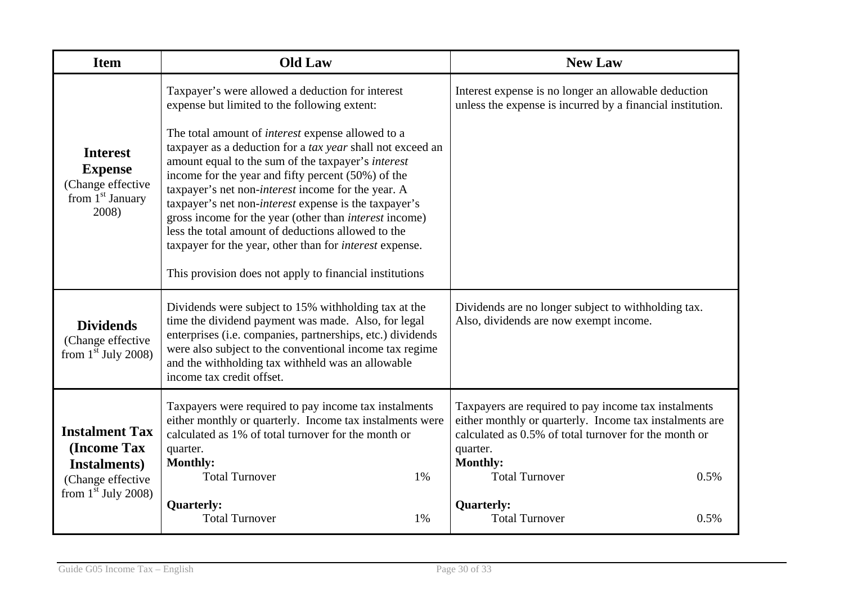| <b>Item</b>                                                                           | <b>Old Law</b>                                                                                                                                                                                                                                                                                                                                                     | <b>New Law</b>                                                                                                                                                                                          |  |
|---------------------------------------------------------------------------------------|--------------------------------------------------------------------------------------------------------------------------------------------------------------------------------------------------------------------------------------------------------------------------------------------------------------------------------------------------------------------|---------------------------------------------------------------------------------------------------------------------------------------------------------------------------------------------------------|--|
| <b>Interest</b><br><b>Expense</b><br>(Change effective<br>from $1st$ January<br>2008) | Taxpayer's were allowed a deduction for interest<br>expense but limited to the following extent:<br>The total amount of <i>interest</i> expense allowed to a<br>taxpayer as a deduction for a tax year shall not exceed an<br>amount equal to the sum of the taxpayer's interest                                                                                   | Interest expense is no longer an allowable deduction<br>unless the expense is incurred by a financial institution.                                                                                      |  |
|                                                                                       | income for the year and fifty percent (50%) of the<br>taxpayer's net non- <i>interest</i> income for the year. A<br>taxpayer's net non-interest expense is the taxpayer's<br>gross income for the year (other than <i>interest</i> income)<br>less the total amount of deductions allowed to the<br>taxpayer for the year, other than for <i>interest</i> expense. |                                                                                                                                                                                                         |  |
|                                                                                       | This provision does not apply to financial institutions                                                                                                                                                                                                                                                                                                            |                                                                                                                                                                                                         |  |
| <b>Dividends</b><br>(Change effective<br>from $1st$ July 2008)                        | Dividends were subject to 15% withholding tax at the<br>time the dividend payment was made. Also, for legal<br>enterprises (i.e. companies, partnerships, etc.) dividends<br>were also subject to the conventional income tax regime<br>and the withholding tax withheld was an allowable<br>income tax credit offset.                                             | Dividends are no longer subject to withholding tax.<br>Also, dividends are now exempt income.                                                                                                           |  |
| <b>Instalment Tax</b><br>(Income Tax                                                  | Taxpayers were required to pay income tax instalments<br>either monthly or quarterly. Income tax instalments were<br>calculated as 1% of total turnover for the month or<br>quarter.<br><b>Monthly:</b>                                                                                                                                                            | Taxpayers are required to pay income tax instalments<br>either monthly or quarterly. Income tax instalments are<br>calculated as 0.5% of total turnover for the month or<br>quarter.<br><b>Monthly:</b> |  |
| Instalments)<br>(Change effective                                                     | <b>Total Turnover</b><br>1%                                                                                                                                                                                                                                                                                                                                        | <b>Total Turnover</b><br>0.5%                                                                                                                                                                           |  |
| from $1st$ July 2008)                                                                 | <b>Quarterly:</b><br><b>Total Turnover</b><br>1%                                                                                                                                                                                                                                                                                                                   | <b>Quarterly:</b><br><b>Total Turnover</b><br>0.5%                                                                                                                                                      |  |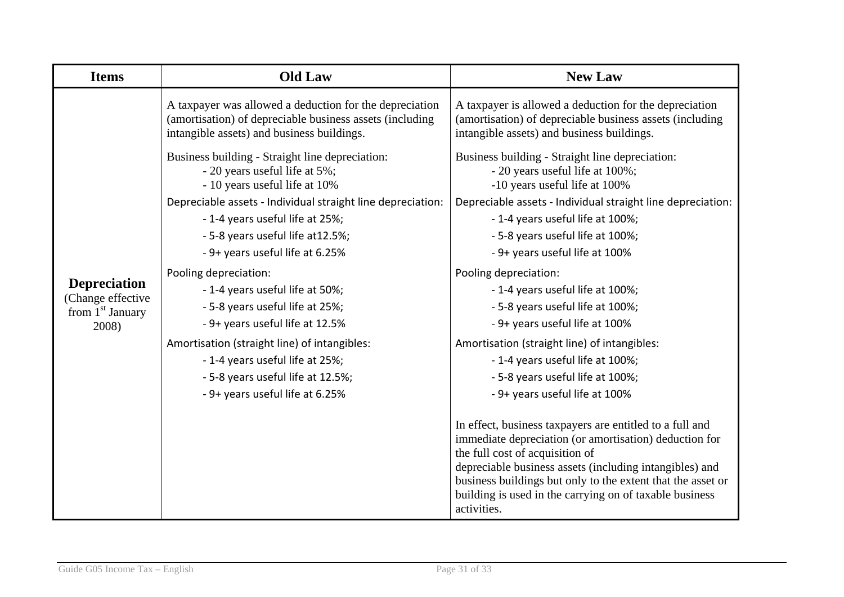| <b>Items</b>                             | <b>Old Law</b>                                                                                                                                                    | <b>New Law</b>                                                                                                                                                                                                                                                                                                                                            |
|------------------------------------------|-------------------------------------------------------------------------------------------------------------------------------------------------------------------|-----------------------------------------------------------------------------------------------------------------------------------------------------------------------------------------------------------------------------------------------------------------------------------------------------------------------------------------------------------|
|                                          | A taxpayer was allowed a deduction for the depreciation<br>(amortisation) of depreciable business assets (including<br>intangible assets) and business buildings. | A taxpayer is allowed a deduction for the depreciation<br>(amortisation) of depreciable business assets (including<br>intangible assets) and business buildings.                                                                                                                                                                                          |
|                                          | Business building - Straight line depreciation:<br>- 20 years useful life at 5%;<br>- 10 years useful life at 10%                                                 | Business building - Straight line depreciation:<br>- 20 years useful life at 100%;<br>-10 years useful life at 100%                                                                                                                                                                                                                                       |
|                                          | Depreciable assets - Individual straight line depreciation:                                                                                                       | Depreciable assets - Individual straight line depreciation:                                                                                                                                                                                                                                                                                               |
|                                          | - 1-4 years useful life at 25%;                                                                                                                                   | - 1-4 years useful life at 100%;                                                                                                                                                                                                                                                                                                                          |
|                                          | - 5-8 years useful life at 12.5%;                                                                                                                                 | - 5-8 years useful life at 100%;                                                                                                                                                                                                                                                                                                                          |
|                                          | - 9+ years useful life at 6.25%                                                                                                                                   | - 9+ years useful life at 100%                                                                                                                                                                                                                                                                                                                            |
|                                          | Pooling depreciation:                                                                                                                                             | Pooling depreciation:                                                                                                                                                                                                                                                                                                                                     |
| <b>Depreciation</b><br>(Change effective | - 1-4 years useful life at 50%;                                                                                                                                   | - 1-4 years useful life at 100%;                                                                                                                                                                                                                                                                                                                          |
| from 1 <sup>st</sup> January<br>2008)    | - 5-8 years useful life at 25%;                                                                                                                                   | - 5-8 years useful life at 100%;                                                                                                                                                                                                                                                                                                                          |
|                                          | - 9+ years useful life at 12.5%                                                                                                                                   | - 9+ years useful life at 100%                                                                                                                                                                                                                                                                                                                            |
|                                          | Amortisation (straight line) of intangibles:                                                                                                                      | Amortisation (straight line) of intangibles:                                                                                                                                                                                                                                                                                                              |
|                                          | - 1-4 years useful life at 25%;                                                                                                                                   | - 1-4 years useful life at 100%;                                                                                                                                                                                                                                                                                                                          |
|                                          | - 5-8 years useful life at 12.5%;                                                                                                                                 | - 5-8 years useful life at 100%;                                                                                                                                                                                                                                                                                                                          |
|                                          | - 9+ years useful life at 6.25%                                                                                                                                   | - 9+ years useful life at 100%                                                                                                                                                                                                                                                                                                                            |
|                                          |                                                                                                                                                                   | In effect, business taxpayers are entitled to a full and<br>immediate depreciation (or amortisation) deduction for<br>the full cost of acquisition of<br>depreciable business assets (including intangibles) and<br>business buildings but only to the extent that the asset or<br>building is used in the carrying on of taxable business<br>activities. |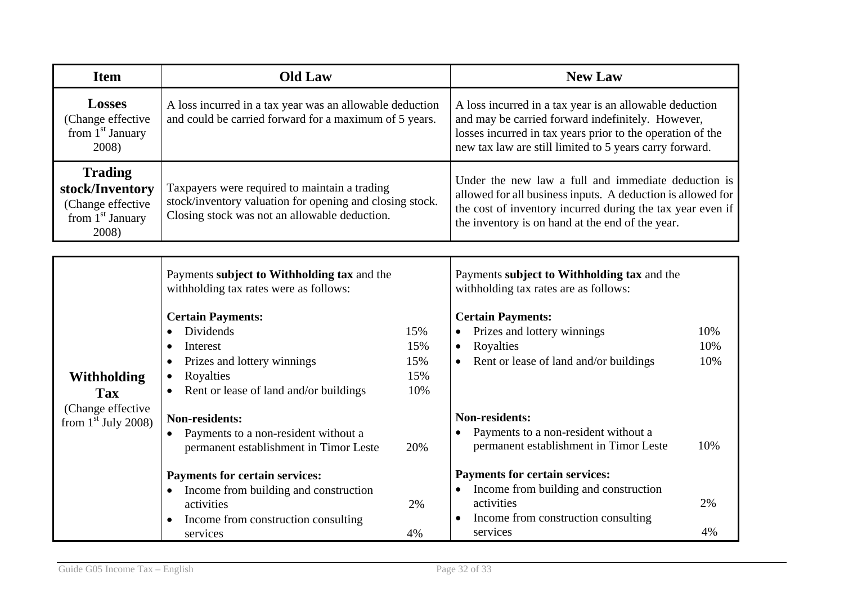| <b>Item</b>                                                                           | <b>Old Law</b>                                                                                                                                                         |                                 | <b>New Law</b>                                                                                                                                                                                                                        |                   |
|---------------------------------------------------------------------------------------|------------------------------------------------------------------------------------------------------------------------------------------------------------------------|---------------------------------|---------------------------------------------------------------------------------------------------------------------------------------------------------------------------------------------------------------------------------------|-------------------|
| <b>Losses</b><br>(Change effective<br>from 1 <sup>st</sup> January<br>2008)           | A loss incurred in a tax year was an allowable deduction<br>and could be carried forward for a maximum of 5 years.                                                     |                                 | A loss incurred in a tax year is an allowable deduction<br>and may be carried forward indefinitely. However,<br>losses incurred in tax years prior to the operation of the<br>new tax law are still limited to 5 years carry forward. |                   |
| <b>Trading</b><br>stock/Inventory<br>(Change effective<br>from $1st$ January<br>2008) | Taxpayers were required to maintain a trading<br>stock/inventory valuation for opening and closing stock.<br>Closing stock was not an allowable deduction.             |                                 | Under the new law a full and immediate deduction is<br>allowed for all business inputs. A deduction is allowed for<br>the cost of inventory incurred during the tax year even if<br>the inventory is on hand at the end of the year.  |                   |
|                                                                                       | Payments subject to Withholding tax and the<br>withholding tax rates were as follows:                                                                                  |                                 | Payments subject to Withholding tax and the<br>withholding tax rates are as follows:                                                                                                                                                  |                   |
| <b>Withholding</b><br><b>Tax</b>                                                      | <b>Certain Payments:</b><br>Dividends<br>$\bullet$<br>Interest<br>Prizes and lottery winnings<br>٠<br>Royalties<br>$\bullet$<br>Rent or lease of land and/or buildings | 15%<br>15%<br>15%<br>15%<br>10% | <b>Certain Payments:</b><br>Prizes and lottery winnings<br>$\bullet$<br>Royalties<br>$\bullet$<br>Rent or lease of land and/or buildings<br>$\bullet$                                                                                 | 10%<br>10%<br>10% |
| (Change effective<br>from $1st$ July 2008)                                            | <b>Non-residents:</b><br>Payments to a non-resident without a<br>$\bullet$<br>permanent establishment in Timor Leste                                                   | 20%                             | <b>Non-residents:</b><br>Payments to a non-resident without a<br>$\bullet$<br>permanent establishment in Timor Leste                                                                                                                  | 10%               |
|                                                                                       | <b>Payments for certain services:</b><br>Income from building and construction<br>$\bullet$<br>activities<br>Income from construction consulting<br>services           | 2%<br>4%                        | <b>Payments for certain services:</b><br>• Income from building and construction<br>activities<br>Income from construction consulting<br>services                                                                                     | 2%<br>4%          |